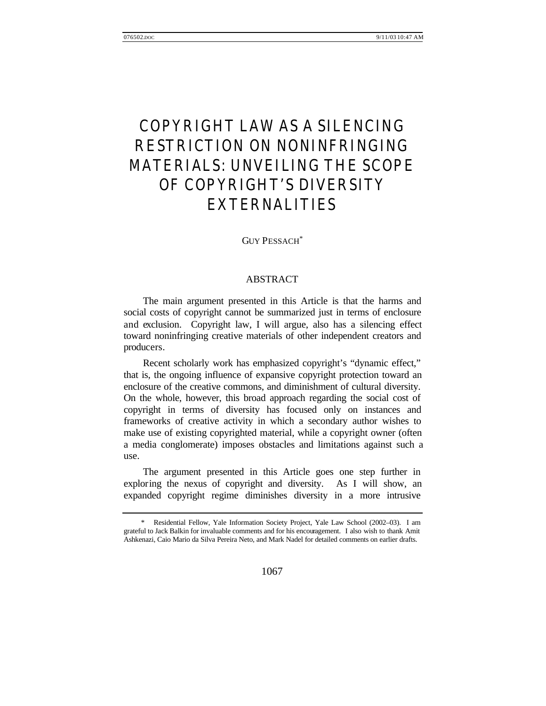# COPYRIGHT LAW AS A SILENCING RESTRICTION ON NONINFRINGING MATERIALS: UNVEILING THE SCOPE OF COPYRIGHT'S DIVERSITY EXTERNALITIES

GUY PESSACH\*

# ABSTRACT

The main argument presented in this Article is that the harms and social costs of copyright cannot be summarized just in terms of enclosure and exclusion. Copyright law, I will argue, also has a silencing effect toward noninfringing creative materials of other independent creators and producers.

Recent scholarly work has emphasized copyright's "dynamic effect," that is, the ongoing influence of expansive copyright protection toward an enclosure of the creative commons, and diminishment of cultural diversity. On the whole, however, this broad approach regarding the social cost of copyright in terms of diversity has focused only on instances and frameworks of creative activity in which a secondary author wishes to make use of existing copyrighted material, while a copyright owner (often a media conglomerate) imposes obstacles and limitations against such a use.

The argument presented in this Article goes one step further in exploring the nexus of copyright and diversity.As I will show, an expanded copyright regime diminishes diversity in a more intrusive

<sup>\*</sup> Residential Fellow, Yale Information Society Project, Yale Law School (2002–03). I am grateful to Jack Balkin for invaluable comments and for his encouragement. I also wish to thank Amit Ashkenazi, Caio Mario da Silva Pereira Neto, and Mark Nadel for detailed comments on earlier drafts.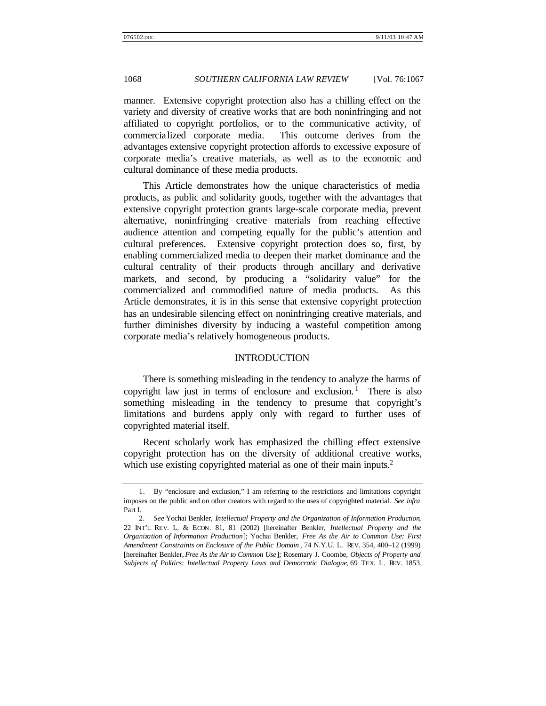manner. Extensive copyright protection also has a chilling effect on the variety and diversity of creative works that are both noninfringing and not affiliated to copyright portfolios, or to the communicative activity, of commercialized corporate media. This outcome derives from the advantages extensive copyright protection affords to excessive exposure of corporate media's creative materials, as well as to the economic and cultural dominance of these media products.

This Article demonstrates how the unique characteristics of media products, as public and solidarity goods, together with the advantages that extensive copyright protection grants large-scale corporate media, prevent alternative, noninfringing creative materials from reaching effective audience attention and competing equally for the public's attention and cultural preferences. Extensive copyright protection does so, first, by enabling commercialized media to deepen their market dominance and the cultural centrality of their products through ancillary and derivative markets, and second, by producing a "solidarity value" for the commercialized and commodified nature of media products. As this Article demonstrates, it is in this sense that extensive copyright protection has an undesirable silencing effect on noninfringing creative materials, and further diminishes diversity by inducing a wasteful competition among corporate media's relatively homogeneous products.

#### INTRODUCTION

There is something misleading in the tendency to analyze the harms of copyright law just in terms of enclosure and exclusion.<sup>1</sup> There is also something misleading in the tendency to presume that copyright's limitations and burdens apply only with regard to further uses of copyrighted material itself.

Recent scholarly work has emphasized the chilling effect extensive copyright protection has on the diversity of additional creative works, which use existing copyrighted material as one of their main inputs.<sup>2</sup>

<sup>1.</sup> By "enclosure and exclusion," I am referring to the restrictions and limitations copyright imposes on the public and on other creators with regard to the uses of copyrighted material. *See infra* Part I.

<sup>2</sup>*. See* Yochai Benkler, *Intellectual Property and the Organization of Information Production*, 22 INT'L REV. L. & ECON. 81, 81 (2002) [hereinafter Benkler, *Intellectual Property and the Organization of Information Production*]; Yochai Benkler, *Free As the Air to Common Use: First Amendment Constraints on Enclosure of the Public Domain* , 74 N.Y.U. L. REV. 354, 400–12 (1999) [hereinafter Benkler, *Free As the Air to Common Use*]; Rosemary J. Coombe, *Objects of Property and Subjects of Politics: Intellectual Property Laws and Democratic Dialogue*, 69 TEX. L. REV. 1853,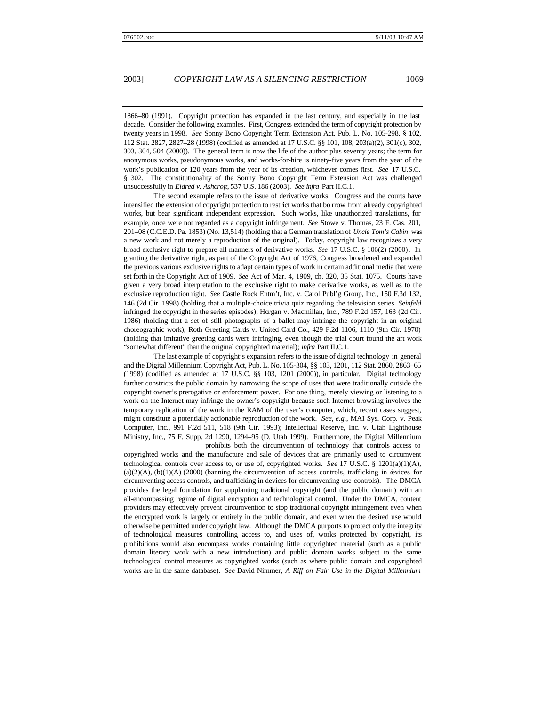1866–80 (1991). Copyright protection has expanded in the last century, and especially in the last decade. Consider the following examples. First, Congress extended the term of copyright protection by twenty years in 1998. *See* Sonny Bono Copyright Term Extension Act, Pub. L. No. 105-298, § 102, 112 Stat. 2827, 2827–28 (1998) (codified as amended at 17 U.S.C. §§ 101, 108, 203(a)(2), 301(c), 302, 303, 304, 504 (2000)). The general term is now the life of the author plus seventy years; the term for anonymous works, pseudonymous works, and works-for-hire is ninety-five years from the year of the work's publication or 120 years from the year of its creation, whichever comes first. *See* 17 U.S.C. § 302. The constitutionality of the Sonny Bono Copyright Term Extension Act was challenged unsuccessfully in *Eldred v. Ashcroft*, 537 U.S. 186 (2003). *See infra* Part II.C.1.

The second example refers to the issue of derivative works. Congress and the courts have intensified the extension of copyright protection to restrict works that bo rrow from already copyrighted works, but bear significant independent expression. Such works, like unauthorized translations, for example, once were not regarded as a copyright infringement. *See* Stowe v. Thomas, 23 F. Cas. 201, 201–08 (C.C.E.D. Pa. 1853) (No. 13,514) (holding that a German translation of *Uncle Tom's Cabin* was a new work and not merely a reproduction of the original). Today, copyright law recognizes a very broad exclusive right to prepare all manners of derivative works. *See* 17 U.S.C. § 106(2) (2000). In granting the derivative right, as part of the Copyright Act of 1976, Congress broadened and expanded the previous various exclusive rights to adapt certain types of work in certain additional media that were set forth in the Copyright Act of 1909. *See* Act of Mar. 4, 1909, ch. 320, 35 Stat. 1075. Courts have given a very broad interpretation to the exclusive right to make derivative works, as well as to the exclusive reproduction right. *See* Castle Rock Entm't, Inc. v. Carol Publ'g Group, Inc., 150 F.3d 132, 146 (2d Cir. 1998) (holding that a multiple-choice trivia quiz regarding the television series *Seinfeld* infringed the copyright in the series episodes); Horgan v. Macmillan, Inc., 789 F.2d 157, 163 (2d Cir. 1986) (holding that a set of still photographs of a ballet may infringe the copyright in an original choreographic work); Roth Greeting Cards v. United Card Co., 429 F.2d 1106, 1110 (9th Cir. 1970) (holding that imitative greeting cards were infringing, even though the trial court found the art work "somewhat different" than the original copyrighted material); *infra* Part II.C.1.

The last example of copyright's expansion refers to the issue of digital technology in general and the Digital Millennium Copyright Act, Pub. L. No. 105-304, §§ 103, 1201, 112 Stat. 2860, 2863–65 (1998) (codified as amended at 17 U.S.C. §§ 103, 1201 (2000)), in particular. Digital technology further constricts the public domain by narrowing the scope of uses that were traditionally outside the copyright owner's prerogative or enforcement power. For one thing, merely viewing or listening to a work on the Internet may infringe the owner's copyright because such Internet browsing involves the temporary replication of the work in the RAM of the user's computer, which, recent cases suggest, might constitute a potentially actionable reproduction of the work. *See, e.g.*, MAI Sys. Corp. v. Peak Computer, Inc., 991 F.2d 511, 518 (9th Cir. 1993); Intellectual Reserve, Inc. v. Utah Lighthouse Ministry, Inc., 75 F. Supp. 2d 1290, 1294–95 (D. Utah 1999). Furthermore, the Digital Millennium prohibits both the circumvention of technology that controls access to

copyrighted works and the manufacture and sale of devices that are primarily used to circumvent technological controls over access to, or use of, copyrighted works. *See* 17 U.S.C. § 1201(a)(1)(A),  $(a)(2)(A)$ ,  $(b)(1)(A)$  (2000) (banning the circumvention of access controls, trafficking in devices for circumventing access controls, and trafficking in devices for circumventing use controls). The DMCA provides the legal foundation for supplanting traditional copyright (and the public domain) with an all-encompassing regime of digital encryption and technological control. Under the DMCA, content providers may effectively prevent circumvention to stop traditional copyright infringement even when the encrypted work is largely or entirely in the public domain, and even when the desired use would otherwise be permitted under copyright law. Although the DMCA purports to protect only the integrity of technological measures controlling access to, and uses of, works protected by copyright, its prohibitions would also encompass works containing little copyrighted material (such as a public domain literary work with a new introduction) and public domain works subject to the same technological control measures as copyrighted works (such as where public domain and copyrighted works are in the same database). *See* David Nimmer, *A Riff on Fair Use in the Digital Millennium*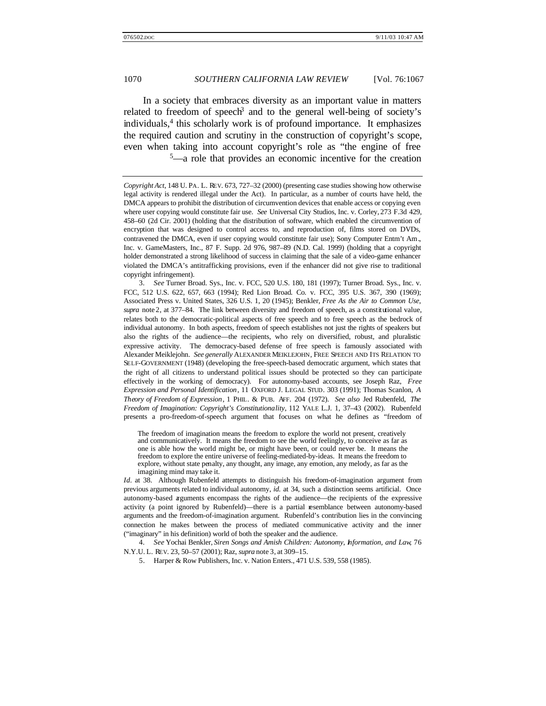In a society that embraces diversity as an important value in matters related to freedom of speech<sup>3</sup> and to the general well-being of society's individuals,<sup>4</sup> this scholarly work is of profound importance. It emphasizes the required caution and scrutiny in the construction of copyright's scope, even when taking into account copyright's role as "the engine of free <sup>5</sup>—a role that provides an economic incentive for the creation

3*. See* Turner Broad. Sys., Inc. v. FCC, 520 U.S. 180, 181 (1997); Turner Broad. Sys., Inc. v. FCC, 512 U.S. 622, 657, 663 (1994); Red Lion Broad. Co. v. FCC, 395 U.S. 367, 390 (1969); Associated Press v. United States, 326 U.S. 1, 20 (1945); Benkler, *Free As the Air to Common Use*, *supra* note 2, at 377–84. The link between diversity and freedom of speech, as a constitutional value, relates both to the democratic-political aspects of free speech and to free speech as the bedrock of individual autonomy. In both aspects, freedom of speech establishes not just the rights of speakers but also the rights of the audience—the recipients, who rely on diversified, robust, and pluralistic expressive activity. The democracy-based defense of free speech is famously associated with Alexander Meiklejohn. *See generally* ALEXANDER MEIKLEJOHN, FREE SPEECH AND ITS RELATION TO SELF-GOVERNMENT (1948) (developing the free-speech-based democratic argument, which states that the right of all citizens to understand political issues should be protected so they can participate effectively in the working of democracy). For autonomy-based accounts, see Joseph Raz, *Free Expression and Personal Identification*, 11 OXFORD J. LEGAL STUD. 303 (1991); Thomas Scanlon, *A Theory of Freedom of Expression*, 1 PHIL. & PUB. AFF. 204 (1972). *See also* Jed Rubenfeld, *The Freedom of Imagination: Copyright's Constitutionality*, 112 YALE L.J. 1, 37–43 (2002). Rubenfeld presents a pro-freedom-of-speech argument that focuses on what he defines as "freedom of

The freedom of imagination means the freedom to explore the world not present, creatively and communicatively. It means the freedom to see the world feelingly, to conceive as far as one is able how the world might be, or might have been, or could never be. It means the freedom to explore the entire universe of feeling-mediated-by-ideas. It means the freedom to explore, without state penalty, any thought, any image, any emotion, any melody, as far as the imagining mind may take it.

*Id.* at 38. Although Rubenfeld attempts to distinguish his freedom-of-imagination argument from previous arguments related to individual autonomy, *id.* at 34, such a distinction seems artificial. Once autonomy-based arguments encompass the rights of the audience—the recipients of the expressive activity (a point ignored by Rubenfeld)—there is a partial resemblance between autonomy-based arguments and the freedom-of-imagination argument. Rubenfeld's contribution lies in the convincing connection he makes between the process of mediated communicative activity and the inner ("imaginary" in his definition) world of both the speaker and the audience.

4*. See* Yochai Benkler, *Siren Songs and Amish Children: Autonomy, Information, and Law*, 76 N.Y.U. L. REV. 23, 50–57 (2001); Raz, *supra* note 3, at 309–15.

5. Harper & Row Publishers, Inc. v. Nation Enters., 471 U.S. 539, 558 (1985).

*Copyright Act*, 148 U. PA. L. REV. 673, 727–32 (2000) (presenting case studies showing how otherwise legal activity is rendered illegal under the Act). In particular, as a number of courts have held, the DMCA appears to prohibit the distribution of circumvention devices that enable access or copying even where user copying would constitute fair use. *See* Universal City Studios, Inc. v. Corley, 273 F.3d 429, 458–60 (2d Cir. 2001) (holding that the distribution of software, which enabled the circumvention of encryption that was designed to control access to, and reproduction of, films stored on DVDs, contravened the DMCA, even if user copying would constitute fair use); Sony Computer Entm't Am., Inc. v. GameMasters, Inc., 87 F. Supp. 2d 976, 987–89 (N.D. Cal. 1999) (holding that a copyright holder demonstrated a strong likelihood of success in claiming that the sale of a video-game enhancer violated the DMCA's antitrafficking provisions, even if the enhancer did not give rise to traditional copyright infringement).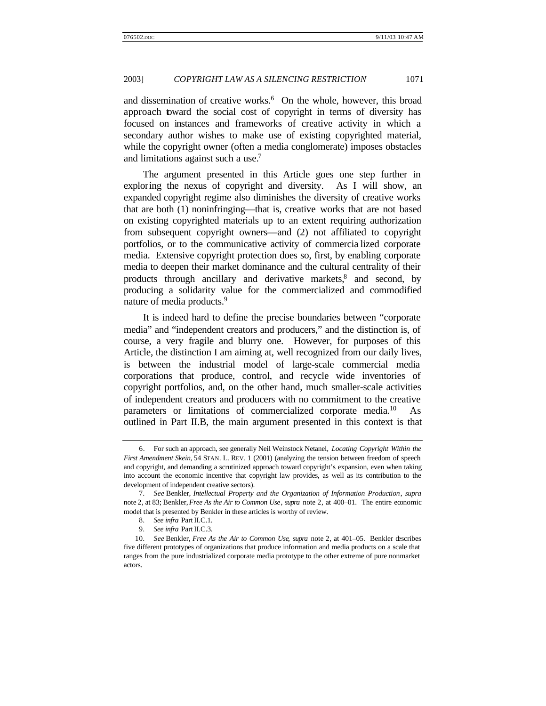and dissemination of creative works.<sup>6</sup> On the whole, however, this broad approach toward the social cost of copyright in terms of diversity has focused on instances and frameworks of creative activity in which a secondary author wishes to make use of existing copyrighted material, while the copyright owner (often a media conglomerate) imposes obstacles and limitations against such a use.<sup>7</sup>

The argument presented in this Article goes one step further in exploring the nexus of copyright and diversity.As I will show, an expanded copyright regime also diminishes the diversity of creative works that are both (1) noninfringing—that is, creative works that are not based on existing copyrighted materials up to an extent requiring authorization from subsequent copyright owners—and (2) not affiliated to copyright portfolios, or to the communicative activity of commercia lized corporate media. Extensive copyright protection does so, first, by enabling corporate media to deepen their market dominance and the cultural centrality of their products through ancillary and derivative markets,<sup>8</sup> and second, by producing a solidarity value for the commercialized and commodified nature of media products.<sup>9</sup>

It is indeed hard to define the precise boundaries between "corporate media" and "independent creators and producers," and the distinction is, of course, a very fragile and blurry one. However, for purposes of this Article, the distinction I am aiming at, well recognized from our daily lives, is between the industrial model of large-scale commercial media corporations that produce, control, and recycle wide inventories of copyright portfolios, and, on the other hand, much smaller-scale activities of independent creators and producers with no commitment to the creative parameters or limitations of commercialized corporate media.<sup>10</sup> As outlined in Part II.B, the main argument presented in this context is that

<sup>6.</sup> For such an approach, see generally Neil Weinstock Netanel, *Locating Copyright Within the First Amendment Skein*, 54 STAN. L. REV. 1 (2001) (analyzing the tension between freedom of speech and copyright, and demanding a scrutinized approach toward copyright's expansion, even when taking into account the economic incentive that copyright law provides, as well as its contribution to the development of independent creative sectors).

<sup>7</sup>*. See* Benkler, *Intellectual Property and the Organization of Information Production*, *supra* note 2, at 83; Benkler, *Free As the Air to Common Use*, *supra* note 2, at 400–01. The entire economic model that is presented by Benkler in these articles is worthy of review.

<sup>8</sup>*. See infra* Part II.C.1.

<sup>9</sup>*. See infra* Part II.C.3.

<sup>10</sup>*. See* Benkler, *Free As the Air to Common Use*, *supra* note 2, at 401–05. Benkler describes five different prototypes of organizations that produce information and media products on a scale that ranges from the pure industrialized corporate media prototype to the other extreme of pure nonmarket actors.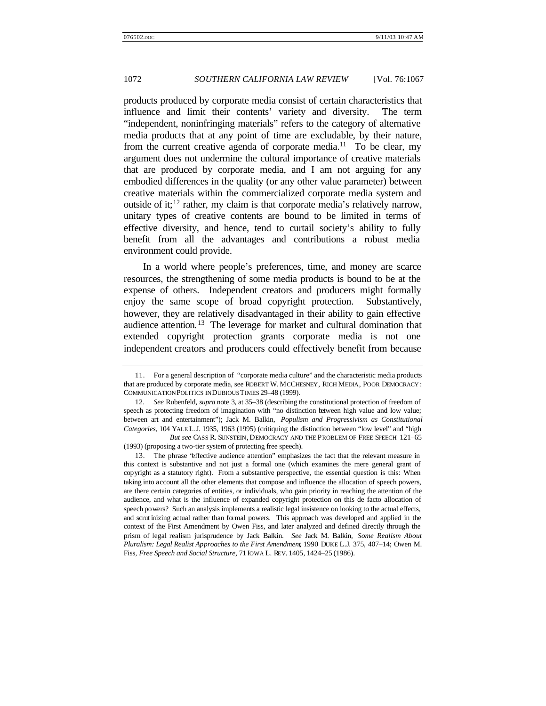products produced by corporate media consist of certain characteristics that influence and limit their contents' variety and diversity. The term "independent, noninfringing materials" refers to the category of alternative media products that at any point of time are excludable, by their nature, from the current creative agenda of corporate media.<sup>11</sup> To be clear, my argument does not undermine the cultural importance of creative materials that are produced by corporate media, and I am not arguing for any embodied differences in the quality (or any other value parameter) between creative materials within the commercialized corporate media system and outside of it;<sup>12</sup> rather, my claim is that corporate media's relatively narrow, unitary types of creative contents are bound to be limited in terms of effective diversity, and hence, tend to curtail society's ability to fully benefit from all the advantages and contributions a robust media environment could provide.

In a world where people's preferences, time, and money are scarce resources, the strengthening of some media products is bound to be at the expense of others. Independent creators and producers might formally enjoy the same scope of broad copyright protection. Substantively, however, they are relatively disadvantaged in their ability to gain effective audience attention. <sup>13</sup> The leverage for market and cultural domination that extended copyright protection grants corporate media is not one independent creators and producers could effectively benefit from because

<sup>11.</sup> For a general description of "corporate media culture" and the characteristic media products that are produced by corporate media, see ROBERT W. MCCHESNEY, RICH MEDIA, POOR DEMOCRACY : COMMUNICATION POLITICS IN DUBIOUS TIMES 29–48 (1999).

<sup>12</sup>*. See* Rubenfeld, *supra* note 3, at 35–38 (describing the constitutional protection of freedom of speech as protecting freedom of imagination with "no distinction between high value and low value; between art and entertainment"); Jack M. Balkin, *Populism and Progressivism as Constitutional Categories*, 104 YALE L.J. 1935, 1963 (1995) (critiquing the distinction between "low level" and "high

*But see* CASS R. SUNSTEIN, DEMOCRACY AND THE PROBLEM OF FREE SPEECH 121–65 (1993) (proposing a two-tier system of protecting free speech).

<sup>13.</sup> The phrase "effective audience attention" emphasizes the fact that the relevant measure in this context is substantive and not just a formal one (which examines the mere general grant of copyright as a statutory right). From a substantive perspective, the essential question is this: When taking into account all the other elements that compose and influence the allocation of speech powers, are there certain categories of entities, or individuals, who gain priority in reaching the attention of the audience, and what is the influence of expanded copyright protection on this de facto allocation of speech powers? Such an analysis implements a realistic legal insistence on looking to the actual effects, and scrut inizing actual rather than formal powers. This approach was developed and applied in the context of the First Amendment by Owen Fiss, and later analyzed and defined directly through the prism of legal realism jurisprudence by Jack Balkin. *See* Jack M. Balkin, *Some Realism About Pluralism: Legal Realist Approaches to the First Amendment*, 1990 DUKE L.J. 375, 407–14; Owen M. Fiss, *Free Speech and Social Structure*, 71 IOWA L. REV. 1405, 1424–25 (1986).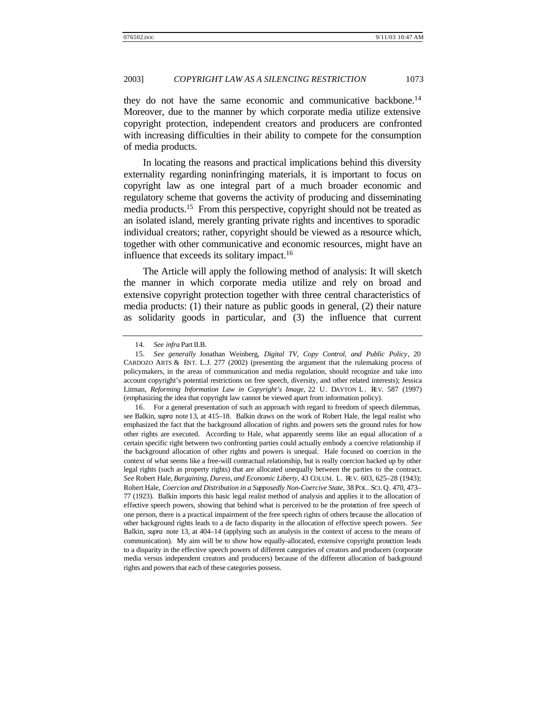they do not have the same economic and communicative backbone.<sup>14</sup> Moreover, due to the manner by which corporate media utilize extensive copyright protection, independent creators and producers are confronted with increasing difficulties in their ability to compete for the consumption of media products.

In locating the reasons and practical implications behind this diversity externality regarding noninfringing materials, it is important to focus on copyright law as one integral part of a much broader economic and regulatory scheme that governs the activity of producing and disseminating media products.<sup>15</sup> From this perspective, copyright should not be treated as an isolated island, merely granting private rights and incentives to sporadic individual creators; rather, copyright should be viewed as a resource which, together with other communicative and economic resources, might have an influence that exceeds its solitary impact.<sup>16</sup>

The Article will apply the following method of analysis: It will sketch the manner in which corporate media utilize and rely on broad and extensive copyright protection together with three central characteristics of media products: (1) their nature as public goods in general, (2) their nature as solidarity goods in particular, and (3) the influence that current

<sup>14</sup>*. See infra* Part II.B.

<sup>15</sup>*. See generally* Jonathan Weinberg, *Digital TV, Copy Control, and Public Policy*, 20 CARDOZO ARTS & ENT. L.J. 277 (2002) (presenting the argument that the rulemaking process of policymakers, in the areas of communication and media regulation, should recognize and take into account copyright's potential restrictions on free speech, diversity, and other related interests); Jessica Litman, *Reforming Information Law in Copyright's Image*, 22 U. DAYTON L. REV. 587 (1997) (emphasizing the idea that copyright law cannot be viewed apart from information policy).

<sup>16.</sup> For a general presentation of such an approach with regard to freedom of speech dilemmas, see Balkin, *supra* note 13, at 415–18. Balkin draws on the work of Robert Hale, the legal realist who emphasized the fact that the background allocation of rights and powers sets the ground rules for how other rights are executed. According to Hale, what apparently seems like an equal allocation of a certain specific right between two confronting parties could actually embody a coercive relationship if the background allocation of other rights and powers is unequal. Hale focused on coercion in the context of what seems like a free-will contractual relationship, but is really coercion backed up by other legal rights (such as property rights) that are allocated unequally between the parties to the contract. *See* Robert Hale, *Bargaining, Duress, and Economic Liberty*, 43 COLUM. L. REV. 603, 625–28 (1943); Robert Hale, *Coercion and Distribution in a Supposedly Non-Coercive State*, 38 POL. SCI. Q. 470, 473– 77 (1923). Balkin imports this basic legal realist method of analysis and applies it to the allocation of effective speech powers, showing that behind what is perceived to be the protection of free speech of one person, there is a practical impairment of the free speech rights of others because the allocation of other background rights leads to a de facto disparity in the allocation of effective speech powers. *See* Balkin, *supra* note 13, at 404–14 (applying such an analysis in the context of access to the means of communication). My aim will be to show how equally-allocated, extensive copyright protection leads to a disparity in the effective speech powers of different categories of creators and producers (corporate media versus independent creators and producers) because of the different allocation of background rights and powers that each of these categories possess.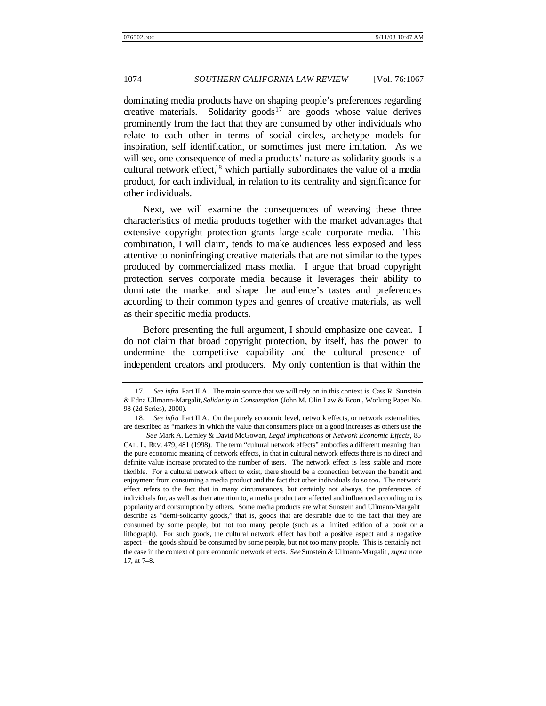dominating media products have on shaping people's preferences regarding creative materials. Solidarity goods<sup>17</sup> are goods whose value derives prominently from the fact that they are consumed by other individuals who relate to each other in terms of social circles, archetype models for inspiration, self identification, or sometimes just mere imitation. As we will see, one consequence of media products' nature as solidarity goods is a cultural network effect,<sup>18</sup> which partially subordinates the value of a media product, for each individual, in relation to its centrality and significance for other individuals.

Next, we will examine the consequences of weaving these three characteristics of media products together with the market advantages that extensive copyright protection grants large-scale corporate media. This combination, I will claim, tends to make audiences less exposed and less attentive to noninfringing creative materials that are not similar to the types produced by commercialized mass media. I argue that broad copyright protection serves corporate media because it leverages their ability to dominate the market and shape the audience's tastes and preferences according to their common types and genres of creative materials, as well as their specific media products.

Before presenting the full argument, I should emphasize one caveat. I do not claim that broad copyright protection, by itself, has the power to undermine the competitive capability and the cultural presence of independent creators and producers. My only contention is that within the

<sup>17</sup>*. See infra* Part II.A. The main source that we will rely on in this context is Cass R. Sunstein & Edna Ullmann-Margalit, *Solidarity in Consumption* (John M. Olin Law & Econ., Working Paper No. 98 (2d Series), 2000).

<sup>18</sup>*. See infra* Part II.A. On the purely economic level, network effects, or network externalities, are described as "markets in which the value that consumers place on a good increases as others use the

*See* Mark A. Lemley & David McGowan, *Legal Implications of Network Economic Effects*, 86 CAL. L. REV. 479, 481 (1998). The term "cultural network effects" embodies a different meaning than the pure economic meaning of network effects, in that in cultural network effects there is no direct and definite value increase prorated to the number of users. The network effect is less stable and more flexible. For a cultural network effect to exist, there should be a connection between the benefit and enjoyment from consuming a media product and the fact that other individuals do so too. The network effect refers to the fact that in many circumstances, but certainly not always, the preferences of individuals for, as well as their attention to, a media product are affected and influenced according to its popularity and consumption by others. Some media products are what Sunstein and Ullmann-Margalit describe as "demi-solidarity goods," that is, goods that are desirable due to the fact that they are consumed by some people, but not too many people (such as a limited edition of a book or a lithograph). For such goods, the cultural network effect has both a positive aspect and a negative aspect—the goods should be consumed by some people, but not too many people. This is certainly not the case in the context of pure economic network effects. *See* Sunstein & Ullmann-Margalit *, supra* note 17, at 7–8.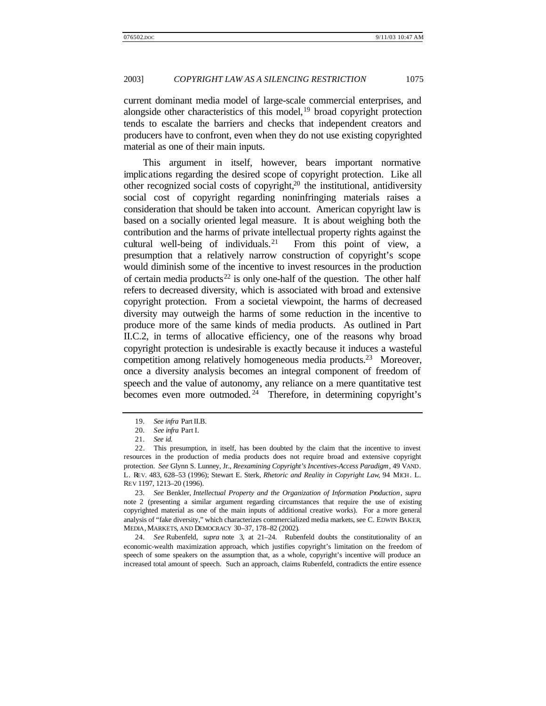current dominant media model of large-scale commercial enterprises, and alongside other characteristics of this model,  $19$  broad copyright protection tends to escalate the barriers and checks that independent creators and producers have to confront, even when they do not use existing copyrighted material as one of their main inputs.

This argument in itself, however, bears important normative implications regarding the desired scope of copyright protection. Like all other recognized social costs of copyright, $2<sup>0</sup>$  the institutional, antidiversity social cost of copyright regarding noninfringing materials raises a consideration that should be taken into account. American copyright law is based on a socially oriented legal measure. It is about weighing both the contribution and the harms of private intellectual property rights against the cultural well-being of individuals.<sup>21</sup> From this point of view, a presumption that a relatively narrow construction of copyright's scope would diminish some of the incentive to invest resources in the production of certain media products<sup>22</sup> is only one-half of the question. The other half refers to decreased diversity, which is associated with broad and extensive copyright protection. From a societal viewpoint, the harms of decreased diversity may outweigh the harms of some reduction in the incentive to produce more of the same kinds of media products. As outlined in Part II.C.2, in terms of allocative efficiency, one of the reasons why broad copyright protection is undesirable is exactly because it induces a wasteful competition among relatively homogeneous media products.<sup>23</sup> Moreover, once a diversity analysis becomes an integral component of freedom of speech and the value of autonomy, any reliance on a mere quantitative test becomes even more outmoded. <sup>24</sup> Therefore, in determining copyright's

23*. See* Benkler, *Intellectual Property and the Organization of Information Production*, *supra* note 2 (presenting a similar argument regarding circumstances that require the use of existing copyrighted material as one of the main inputs of additional creative works). For a more general analysis of "fake diversity," which characterizes commercialized media markets, see C. EDWIN BAKER, MEDIA, MARKETS, AND DEMOCRACY 30–37, 178–82 (2002).

24*. See* Rubenfeld, *supra* note 3, at 21–24. Rubenfeld doubts the constitutionality of an economic-wealth maximization approach, which justifies copyright's limitation on the freedom of speech of some speakers on the assumption that, as a whole, copyright's incentive will produce an increased total amount of speech. Such an approach, claims Rubenfeld, contradicts the entire essence

<sup>19</sup>*. See infra* Part II.B.

<sup>20</sup>*. See infra* Part I.

<sup>21</sup>*. See id.*

<sup>22.</sup> This presumption, in itself, has been doubted by the claim that the incentive to invest resources in the production of media products does not require broad and extensive copyright protection. *See* Glynn S. Lunney, Jr., *Reexamining Copyright's Incentives-Access Paradigm*, 49 VAND. L. REV. 483, 628–53 (1996); Stewart E. Sterk, *Rhetoric and Reality in Copyright Law*, 94 MICH. L. REV 1197, 1213–20 (1996).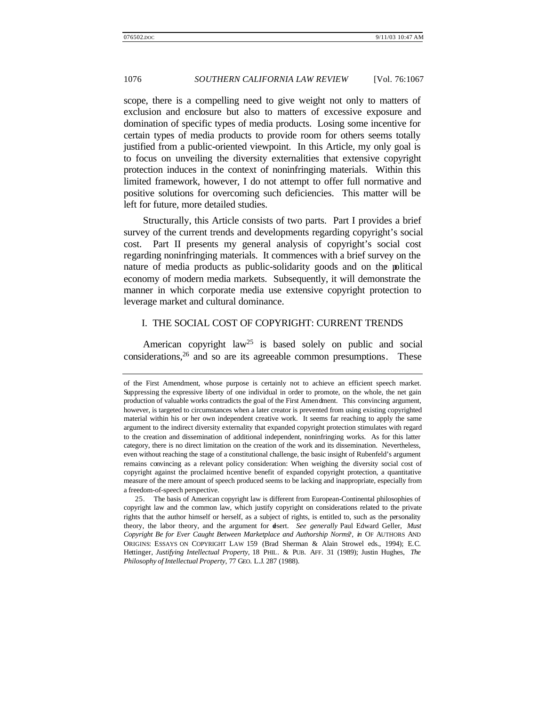scope, there is a compelling need to give weight not only to matters of exclusion and enclosure but also to matters of excessive exposure and domination of specific types of media products. Losing some incentive for certain types of media products to provide room for others seems totally justified from a public-oriented viewpoint. In this Article, my only goal is to focus on unveiling the diversity externalities that extensive copyright protection induces in the context of noninfringing materials. Within this limited framework, however, I do not attempt to offer full normative and positive solutions for overcoming such deficiencies. This matter will be left for future, more detailed studies.

Structurally, this Article consists of two parts. Part I provides a brief survey of the current trends and developments regarding copyright's social cost. Part II presents my general analysis of copyright's social cost regarding noninfringing materials. It commences with a brief survey on the nature of media products as public-solidarity goods and on the political economy of modern media markets. Subsequently, it will demonstrate the manner in which corporate media use extensive copyright protection to leverage market and cultural dominance.

# I. THE SOCIAL COST OF COPYRIGHT: CURRENT TRENDS

American copyright law<sup>25</sup> is based solely on public and social  $considerations, <sup>26</sup>$  and so are its agreeable common presumptions. These

of the First Amendment, whose purpose is certainly not to achieve an efficient speech market. Suppressing the expressive liberty of one individual in order to promote, on the whole, the net gain production of valuable works contradicts the goal of the First Amendment. This convincing argument, however, is targeted to circumstances when a later creator is prevented from using existing copyrighted material within his or her own independent creative work. It seems far reaching to apply the same argument to the indirect diversity externality that expanded copyright protection stimulates with regard to the creation and dissemination of additional independent, noninfringing works. As for this latter category, there is no direct limitation on the creation of the work and its dissemination. Nevertheless, even without reaching the stage of a constitutional challenge, the basic insight of Rubenfeld's argument remains convincing as a relevant policy consideration: When weighing the diversity social cost of copyright against the proclaimed incentive benefit of expanded copyright protection, a quantitative measure of the mere amount of speech produced seems to be lacking and inappropriate, especially from a freedom-of-speech perspective.

<sup>25.</sup> The basis of American copyright law is different from European-Continental philosophies of copyright law and the common law, which justify copyright on considerations related to the private rights that the author himself or herself, as a subject of rights, is entitled to, such as the personality theory, the labor theory, and the argument for desert. *See generally* Paul Edward Geller, *Must Copyright Be for Ever Caught Between Marketplace and Authorship Norms*?, *in* OF AUTHORS AND ORIGINS: ESSAYS ON COPYRIGHT LAW 159 (Brad Sherman & Alain Strowel eds., 1994); E.C. Hettinger, *Justifying Intellectual Property*, 18 PHIL. & PUB. AFF. 31 (1989); Justin Hughes, *The Philosophy of Intellectual Property*, 77 GEO. L.J. 287 (1988).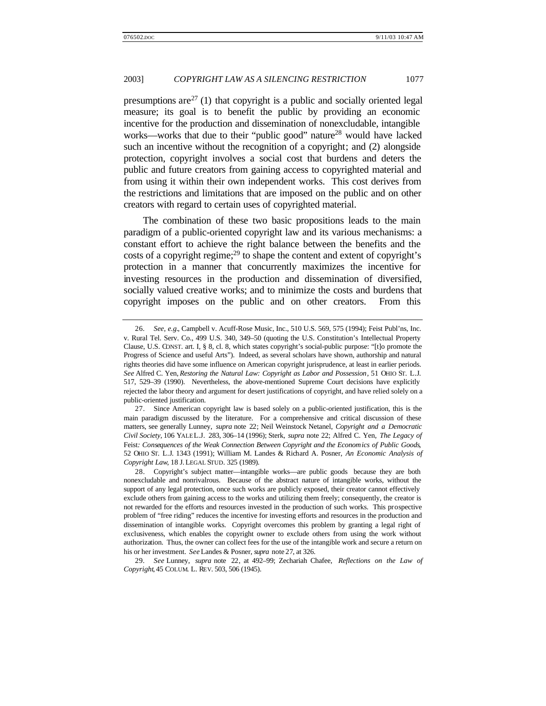presumptions are  $27$  (1) that copyright is a public and socially oriented legal measure; its goal is to benefit the public by providing an economic incentive for the production and dissemination of nonexcludable, intangible works—works that due to their "public good" nature<sup>28</sup> would have lacked such an incentive without the recognition of a copyright; and (2) alongside protection, copyright involves a social cost that burdens and deters the public and future creators from gaining access to copyrighted material and from using it within their own independent works. This cost derives from the restrictions and limitations that are imposed on the public and on other creators with regard to certain uses of copyrighted material.

The combination of these two basic propositions leads to the main paradigm of a public-oriented copyright law and its various mechanisms: a constant effort to achieve the right balance between the benefits and the costs of a copyright regime; $^{29}$  to shape the content and extent of copyright's protection in a manner that concurrently maximizes the incentive for investing resources in the production and dissemination of diversified, socially valued creative works; and to minimize the costs and burdens that copyright imposes on the public and on other creators. From this

<sup>26</sup>*. See, e.g.*, Campbell v. Acuff-Rose Music, Inc., 510 U.S. 569, 575 (1994); Feist Publ'ns, Inc. v. Rural Tel. Serv. Co., 499 U.S. 340, 349–50 (quoting the U.S. Constitution's Intellectual Property Clause, U.S. CONST. art. I, § 8, cl. 8, which states copyright's social-public purpose: "[t]o promote the Progress of Science and useful Arts"). Indeed, as several scholars have shown, authorship and natural rights theories did have some influence on American copyright jurisprudence, at least in earlier periods. *See* Alfred C. Yen, *Restoring the Natural Law: Copyright as Labor and Possession*, 51 OHIO ST. L.J. 517, 529–39 (1990). Nevertheless, the above-mentioned Supreme Court decisions have explicitly rejected the labor theory and argument for desert justifications of copyright, and have relied solely on a public-oriented justification.

<sup>27.</sup> Since American copyright law is based solely on a public-oriented justification, this is the main paradigm discussed by the literature. For a comprehensive and critical discussion of these matters, see generally Lunney, *supra* note 22; Neil Weinstock Netanel, *Copyright and a Democratic Civil Society*, 106 YALE L.J. 283, 306–14 (1996); Sterk, *supra* note 22; Alfred C. Yen, *The Legacy of* Feist*: Consequences of the Weak Connection Between Copyright and the Economics of Public Goods*, 52 OHIO ST. L.J. 1343 (1991); William M. Landes & Richard A. Posner, *An Economic Analysis of Copyright Law*, 18 J. LEGAL STUD. 325 (1989).

<sup>28.</sup> Copyright's subject matter—intangible works—are public goods because they are both nonexcludable and nonrivalrous. Because of the abstract nature of intangible works, without the support of any legal protection, once such works are publicly exposed, their creator cannot effectively exclude others from gaining access to the works and utilizing them freely; consequently, the creator is not rewarded for the efforts and resources invested in the production of such works. This prospective problem of "free riding" reduces the incentive for investing efforts and resources in the production and dissemination of intangible works. Copyright overcomes this problem by granting a legal right of exclusiveness, which enables the copyright owner to exclude others from using the work without authorization. Thus, the owner can collect fees for the use of the intangible work and secure a return on his or her investment. *See* Landes & Posner, *supra* note 27, at 326.

<sup>29</sup>*. See* Lunney, *supra* note 22, at 492–99; Zechariah Chafee, *Reflections on the Law of Copyright*, 45 COLUM. L. REV. 503, 506 (1945).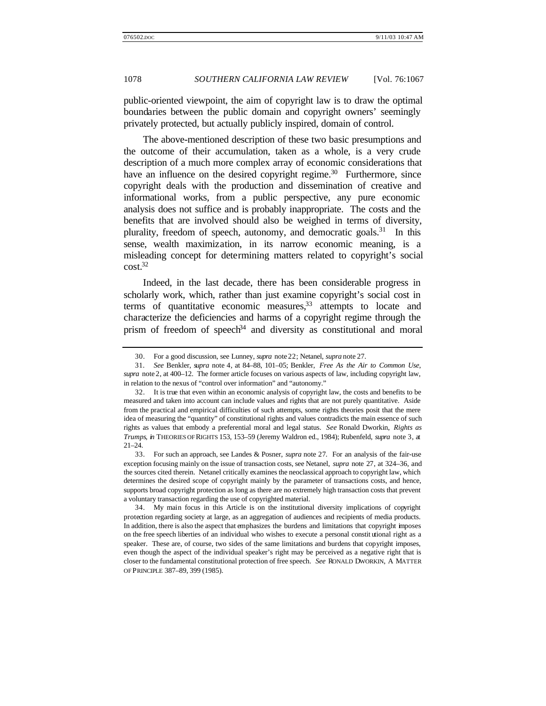public-oriented viewpoint, the aim of copyright law is to draw the optimal boundaries between the public domain and copyright owners' seemingly privately protected, but actually publicly inspired, domain of control.

The above-mentioned description of these two basic presumptions and the outcome of their accumulation, taken as a whole, is a very crude description of a much more complex array of economic considerations that have an influence on the desired copyright regime.<sup>30</sup> Furthermore, since copyright deals with the production and dissemination of creative and informational works, from a public perspective, any pure economic analysis does not suffice and is probably inappropriate. The costs and the benefits that are involved should also be weighed in terms of diversity, plurality, freedom of speech, autonomy, and democratic goals.<sup>31</sup> In this sense, wealth maximization, in its narrow economic meaning, is a misleading concept for determining matters related to copyright's social  $cost<sup>32</sup>$ 

Indeed, in the last decade, there has been considerable progress in scholarly work, which, rather than just examine copyright's social cost in terms of quantitative economic measures, $33$  attempts to locate and characterize the deficiencies and harms of a copyright regime through the prism of freedom of speech<sup>34</sup> and diversity as constitutional and moral

<sup>30.</sup> For a good discussion, see Lunney, *supra* note 22; Netanel, *supra* note 27.

<sup>31</sup>*. See* Benkler, *supra* note 4, at 84–88, 101–05; Benkler, *Free As the Air to Common Use*, *supra* note 2, at 400–12. The former article focuses on various aspects of law, including copyright law, in relation to the nexus of "control over information" and "autonomy."

<sup>32.</sup> It is true that even within an economic analysis of copyright law, the costs and benefits to be measured and taken into account can include values and rights that are not purely quantitative. Aside from the practical and empirical difficulties of such attempts, some rights theories posit that the mere idea of measuring the "quantity" of constitutional rights and values contradicts the main essence of such rights as values that embody a preferential moral and legal status. *See* Ronald Dworkin, *Rights as Trumps*, *in* THEORIES OF RIGHTS 153, 153–59 (Jeremy Waldron ed., 1984); Rubenfeld, *supra* note 3, at 21–24.

<sup>33.</sup> For such an approach, see Landes & Posner, *supra* note 27. For an analysis of the fair-use exception focusing mainly on the issue of transaction costs, see Netanel, *supra* note 27, at 324–36, and the sources cited therein. Netanel critically examines the neoclassical approach to copyright law, which determines the desired scope of copyright mainly by the parameter of transactions costs, and hence, supports broad copyright protection as long as there are no extremely high transaction costs that prevent a voluntary transaction regarding the use of copyrighted material.

<sup>34.</sup> My main focus in this Article is on the institutional diversity implications of copyright protection regarding society at large, as an aggregation of audiences and recipients of media products. In addition, there is also the aspect that emphasizes the burdens and limitations that copyright imposes on the free speech liberties of an individual who wishes to execute a personal constit utional right as a speaker. These are, of course, two sides of the same limitations and burdens that copyright imposes, even though the aspect of the individual speaker's right may be perceived as a negative right that is closer to the fundamental constitutional protection of free speech. *See* RONALD DWORKIN, A MATTER OF PRINCIPLE 387–89, 399 (1985).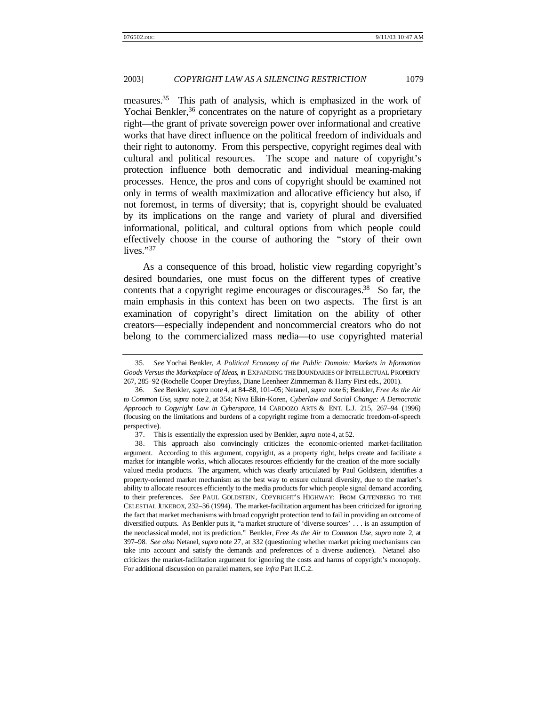measures.<sup>35</sup> This path of analysis, which is emphasized in the work of Yochai Benkler,<sup>36</sup> concentrates on the nature of copyright as a proprietary right—the grant of private sovereign power over informational and creative works that have direct influence on the political freedom of individuals and their right to autonomy. From this perspective, copyright regimes deal with cultural and political resources. The scope and nature of copyright's protection influence both democratic and individual meaning-making processes. Hence, the pros and cons of copyright should be examined not only in terms of wealth maximization and allocative efficiency but also, if not foremost, in terms of diversity; that is, copyright should be evaluated by its implications on the range and variety of plural and diversified informational, political, and cultural options from which people could effectively choose in the course of authoring the "story of their own lives."<sup>37</sup>

As a consequence of this broad, holistic view regarding copyright's desired boundaries, one must focus on the different types of creative contents that a copyright regime encourages or discourages.<sup>38</sup> So far, the main emphasis in this context has been on two aspects. The first is an examination of copyright's direct limitation on the ability of other creators—especially independent and noncommercial creators who do not belong to the commercialized mass media—to use copyrighted material

<sup>35</sup>*. See* Yochai Benkler, *A Political Economy of the Public Domain: Markets in Information Goods Versus the Marketplace of Ideas*, *in* EXPANDING THE BOUNDARIES OF INTELLECTUAL PROPERTY 267, 285–92 (Rochelle Cooper Dreyfuss, Diane Leenheer Zimmerman & Harry First eds., 2001).

<sup>36</sup>*. See* Benkler, *supra* note 4, at 84–88, 101–05; Netanel, *supra* note 6; Benkler, *Free As the Air to Common Use*, *supra* note 2, at 354; Niva Elkin-Koren, *Cyberlaw and Social Change: A Democratic Approach to Copyright Law in Cyberspace*, 14 CARDOZO ARTS & ENT. L.J. 215, 267–94 (1996) (focusing on the limitations and burdens of a copyright regime from a democratic freedom-of-speech perspective).

<sup>37.</sup> This is essentially the expression used by Benkler, *supra* note 4, at 52.

<sup>38.</sup> This approach also convincingly criticizes the economic-oriented market-facilitation argument. According to this argument, copyright, as a property right, helps create and facilitate a market for intangible works, which allocates resources efficiently for the creation of the more socially valued media products. The argument, which was clearly articulated by Paul Goldstein, identifies a property-oriented market mechanism as the best way to ensure cultural diversity, due to the market's ability to allocate resources efficiently to the media products for which people signal demand according to their preferences. *See* PAUL GOLDSTEIN, COPYRIGHT'S HIGHWAY: FROM GUTENBERG TO THE CELESTIAL JUKEBOX, 232–36 (1994). The market-facilitation argument has been criticized for ignoring the fact that market mechanisms with broad copyright protection tend to fail in providing an outcome of diversified outputs. As Benkler puts it, "a market structure of 'diverse sources' . . . is an assumption of the neoclassical model, not its prediction." Benkler, *Free As the Air to Common Use*, *supra* note 2, at 397–98. *See also* Netanel, *supra* note 27, at 332 (questioning whether market pricing mechanisms can take into account and satisfy the demands and preferences of a diverse audience). Netanel also criticizes the market-facilitation argument for ignoring the costs and harms of copyright's monopoly. For additional discussion on parallel matters, see *infra* Part II.C.2.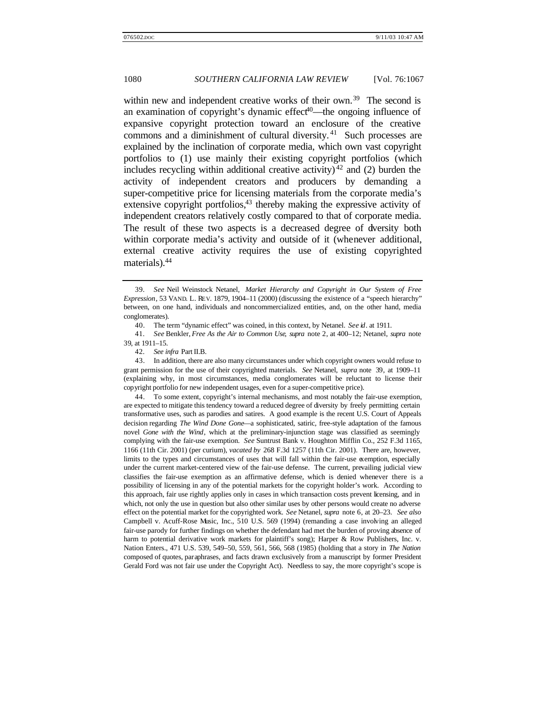within new and independent creative works of their own.<sup>39</sup> The second is an examination of copyright's dynamic effect $40$ —the ongoing influence of expansive copyright protection toward an enclosure of the creative commons and a diminishment of cultural diversity. <sup>41</sup> Such processes are explained by the inclination of corporate media, which own vast copyright portfolios to (1) use mainly their existing copyright portfolios (which includes recycling within additional creative activity)<sup>42</sup> and (2) burden the activity of independent creators and producers by demanding a super-competitive price for licensing materials from the corporate media's extensive copyright portfolios, $43$  thereby making the expressive activity of independent creators relatively costly compared to that of corporate media. The result of these two aspects is a decreased degree of dversity both within corporate media's activity and outside of it (whenever additional, external creative activity requires the use of existing copyrighted materials).<sup>44</sup>

43. In addition, there are also many circumstances under which copyright owners would refuse to grant permission for the use of their copyrighted materials. *See* Netanel, *supra* note 39, at 1909–11 (explaining why, in most circumstances, media conglomerates will be reluctant to license their copyright portfolio for new independent usages, even for a super-competitive price).

44. To some extent, copyright's internal mechanisms, and most notably the fair-use exemption, are expected to mitigate this tendency toward a reduced degree of diversity by freely permitting certain transformative uses, such as parodies and satires. A good example is the recent U.S. Court of Appeals decision regarding *The Wind Done Gone*—a sophisticated, satiric, free-style adaptation of the famous novel *Gone with the Wind*, which at the preliminary-injunction stage was classified as seemingly complying with the fair-use exemption. *See* Suntrust Bank v. Houghton Mifflin Co., 252 F.3d 1165, 1166 (11th Cir. 2001) (per curium), *vacated by* 268 F.3d 1257 (11th Cir. 2001). There are, however, limits to the types and circumstances of uses that will fall within the fair-use exemption, especially under the current market-centered view of the fair-use defense. The current, prevailing judicial view classifies the fair-use exemption as an affirmative defense, which is denied whenever there is a possibility of licensing in any of the potential markets for the copyright holder's work. According to this approach, fair use rightly applies only in cases in which transaction costs prevent licensing, and in which, not only the use in question but also other similar uses by other persons would create no adverse effect on the potential market for the copyrighted work. *See* Netanel, *supra* note 6, at 20–23. *See also* Campbell v. Acuff-Rose Music, Inc., 510 U.S. 569 (1994) (remanding a case involving an alleged fair-use parody for further findings on whether the defendant had met the burden of proving absence of harm to potential derivative work markets for plaintiff's song); Harper & Row Publishers, Inc. v. Nation Enters., 471 U.S. 539, 549–50, 559, 561, 566, 568 (1985) (holding that a story in *The Nation* composed of quotes, paraphrases, and facts drawn exclusively from a manuscript by former President Gerald Ford was not fair use under the Copyright Act). Needless to say, the more copyright's scope is

<sup>39</sup>*. See* Neil Weinstock Netanel, *Market Hierarchy and Copyright in Our System of Free Expression*, 53 VAND. L. REV. 1879, 1904–11 (2000) (discussing the existence of a "speech hierarchy" between, on one hand, individuals and noncommercialized entities, and, on the other hand, media conglomerates).

<sup>40.</sup> The term "dynamic effect" was coined, in this context, by Netanel. *See id*. at 1911.

<sup>41</sup>*. See* Benkler, *Free As the Air to Common Use*, *supra* note 2, at 400–12; Netanel, *supra* note 39, at 1911–15.

<sup>42</sup>*. See infra* Part II.B.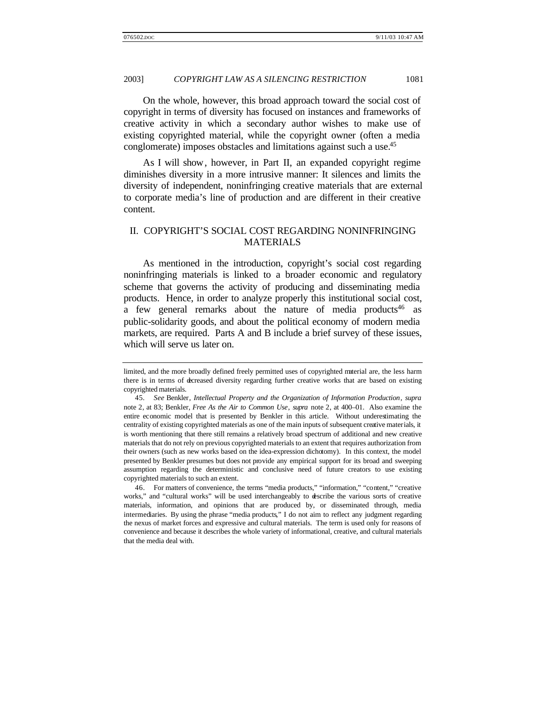On the whole, however, this broad approach toward the social cost of copyright in terms of diversity has focused on instances and frameworks of creative activity in which a secondary author wishes to make use of existing copyrighted material, while the copyright owner (often a media conglomerate) imposes obstacles and limitations against such a use.<sup>45</sup>

As I will show, however, in Part II, an expanded copyright regime diminishes diversity in a more intrusive manner: It silences and limits the diversity of independent, noninfringing creative materials that are external to corporate media's line of production and are different in their creative content.

# II. COPYRIGHT'S SOCIAL COST REGARDING NONINFRINGING MATERIALS

As mentioned in the introduction, copyright's social cost regarding noninfringing materials is linked to a broader economic and regulatory scheme that governs the activity of producing and disseminating media products. Hence, in order to analyze properly this institutional social cost, a few general remarks about the nature of media products<sup>46</sup> as public-solidarity goods, and about the political economy of modern media markets, are required. Parts A and B include a brief survey of these issues, which will serve us later on.

46. For matters of convenience, the terms "media products," "information," "content," "creative works," and "cultural works" will be used interchangeably to describe the various sorts of creative materials, information, and opinions that are produced by, or disseminated through, media intermediaries. By using the phrase "media products," I do not aim to reflect any judgment regarding the nexus of market forces and expressive and cultural materials. The term is used only for reasons of convenience and because it describes the whole variety of informational, creative, and cultural materials that the media deal with.

limited, and the more broadly defined freely permitted uses of copyrighted material are, the less harm there is in terms of decreased diversity regarding further creative works that are based on existing copyrighted materials.

<sup>45</sup>*. See* Benkler*, Intellectual Property and the Organization of Information Production*, *supra* note 2, at 83; Benkler, *Free As the Air to Common Use*, *supra* note 2, at 400–01. Also examine the entire economic model that is presented by Benkler in this article. Without underestimating the centrality of existing copyrighted materials as one of the main inputs of subsequent creative materials, it is worth mentioning that there still remains a relatively broad spectrum of additional and new creative materials that do not rely on previous copyrighted materials to an extent that requires authorization from their owners (such as new works based on the idea-expression dichotomy). In this context, the model presented by Benkler presumes but does not provide any empirical support for its broad and sweeping assumption regarding the deterministic and conclusive need of future creators to use existing copyrighted materials to such an extent.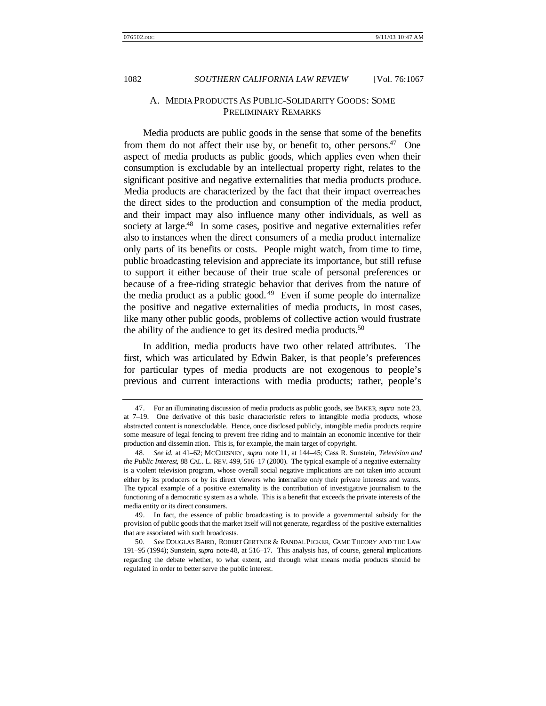# A. MEDIA PRODUCTS AS PUBLIC-SOLIDARITY GOODS: SOME PRELIMINARY REMARKS

Media products are public goods in the sense that some of the benefits from them do not affect their use by, or benefit to, other persons.<sup>47</sup> One aspect of media products as public goods, which applies even when their consumption is excludable by an intellectual property right, relates to the significant positive and negative externalities that media products produce. Media products are characterized by the fact that their impact overreaches the direct sides to the production and consumption of the media product, and their impact may also influence many other individuals, as well as society at large.<sup>48</sup> In some cases, positive and negative externalities refer also to instances when the direct consumers of a media product internalize only parts of its benefits or costs. People might watch, from time to time, public broadcasting television and appreciate its importance, but still refuse to support it either because of their true scale of personal preferences or because of a free-riding strategic behavior that derives from the nature of the media product as a public good.<sup>49</sup> Even if some people do internalize the positive and negative externalities of media products, in most cases, like many other public goods, problems of collective action would frustrate the ability of the audience to get its desired media products.<sup>50</sup>

In addition, media products have two other related attributes. The first, which was articulated by Edwin Baker, is that people's preferences for particular types of media products are not exogenous to people's previous and current interactions with media products; rather, people's

49. In fact, the essence of public broadcasting is to provide a governmental subsidy for the provision of public goods that the market itself will not generate, regardless of the positive externalities that are associated with such broadcasts.

<sup>47.</sup> For an illuminating discussion of media products as public goods, see BAKER, *supra* note 23, at 7–19. One derivative of this basic characteristic refers to intangible media products, whose abstracted content is nonexcludable. Hence, once disclosed publicly, intangible media products require some measure of legal fencing to prevent free riding and to maintain an economic incentive for their production and dissemin ation. This is, for example, the main target of copyright.

<sup>48</sup>*. See id.* at 41–62; MCCHESNEY, *supra* note 11, at 144–45; Cass R. Sunstein, *Television and the Public Interest*, 88 CAL. L. REV. 499, 516–17 (2000). The typical example of a negative externality is a violent television program, whose overall social negative implications are not taken into account either by its producers or by its direct viewers who internalize only their private interests and wants. The typical example of a positive externality is the contribution of investigative journalism to the functioning of a democratic sy stem as a whole. This is a benefit that exceeds the private interests of the media entity or its direct consumers.

<sup>50</sup>*. See* DOUGLAS BAIRD, ROBERT GERTNER & RANDAL PICKER, GAME THEORY AND THE LAW 191–95 (1994); Sunstein, *supra* note 48, at 516–17. This analysis has, of course, general implications regarding the debate whether, to what extent, and through what means media products should be regulated in order to better serve the public interest.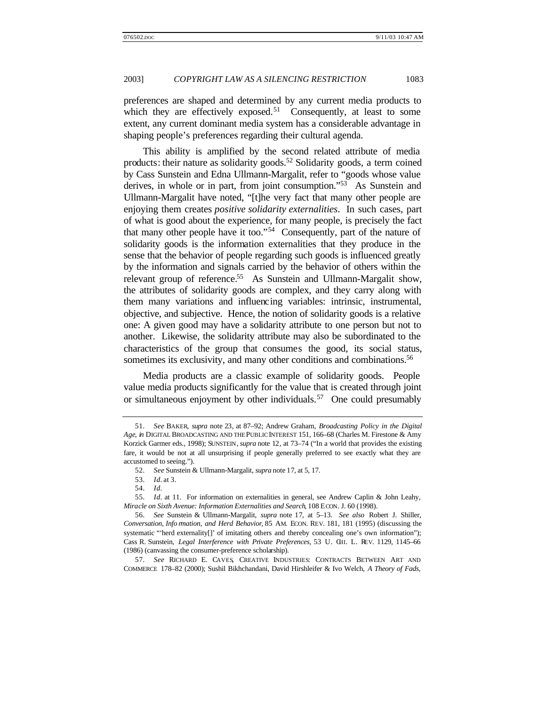preferences are shaped and determined by any current media products to which they are effectively exposed.<sup>51</sup> Consequently, at least to some extent, any current dominant media system has a considerable advantage in shaping people's preferences regarding their cultural agenda.

This ability is amplified by the second related attribute of media products: their nature as solidarity goods.<sup>52</sup> Solidarity goods, a term coined by Cass Sunstein and Edna Ullmann-Margalit, refer to "goods whose value derives, in whole or in part, from joint consumption."<sup>53</sup> As Sunstein and Ullmann-Margalit have noted, "[t]he very fact that many other people are enjoying them creates *positive solidarity externalities*.In such cases, part of what is good about the experience, for many people, is precisely the fact that many other people have it too."<sup>54</sup> Consequently, part of the nature of solidarity goods is the information externalities that they produce in the sense that the behavior of people regarding such goods is influenced greatly by the information and signals carried by the behavior of others within the relevant group of reference.<sup>55</sup> As Sunstein and Ullmann-Margalit show, the attributes of solidarity goods are complex, and they carry along with them many variations and influencing variables: intrinsic, instrumental, objective, and subjective. Hence, the notion of solidarity goods is a relative one: A given good may have a solidarity attribute to one person but not to another. Likewise, the solidarity attribute may also be subordinated to the characteristics of the group that consumes the good, its social status, sometimes its exclusivity, and many other conditions and combinations.<sup>56</sup>

Media products are a classic example of solidarity goods. People value media products significantly for the value that is created through joint or simultaneous enjoyment by other individuals.<sup>57</sup> One could presumably

<sup>51</sup>*. See* BAKER, *supra* note 23, at 87–92; Andrew Graham, *Broadcasting Policy in the Digital Age*, *in* DIGITAL BROADCASTING AND THE PUBLIC INTEREST 151, 166–68 (Charles M. Firestone & Amy Korzick Garmer eds., 1998); SUNSTEIN, *supra* note 12, at 73–74 ("In a world that provides the existing fare, it would be not at all unsurprising if people generally preferred to see exactly what they are accustomed to seeing.").

<sup>52</sup>*. See* Sunstein & Ullmann-Margalit, *supra* note 17, at 5, 17.

<sup>53</sup>*. Id.* at 3.

<sup>54</sup>*. Id.*

<sup>55</sup>*. Id.* at 11. For information on externalities in general, see Andrew Caplin & John Leahy, *Miracle on Sixth Avenue: Information Externalities and Search*, 108 ECON. J. 60 (1998).

<sup>56</sup>*. See* Sunstein & Ullmann-Margalit, *supra* note 17, at 5–13. *See also* Robert J. Shiller, *Conversation, Info rmation, and Herd Behavior*, 85 AM. ECON. REV. 181, 181 (1995) (discussing the systematic "'herd externality[]' of imitating others and thereby concealing one's own information"); Cass R. Sunstein, *Legal Interference with Private Preferences*, 53 U. CHI. L. REV. 1129, 1145–66 (1986) (canvassing the consumer-preference scholarship).

<sup>57</sup>*. See* RICHARD E. CAVES, CREATIVE INDUSTRIES: CONTRACTS BETWEEN ART AND COMMERCE 178–82 (2000); Sushil Bikhchandani, David Hirshleifer & Ivo Welch, *A Theory of Fads,*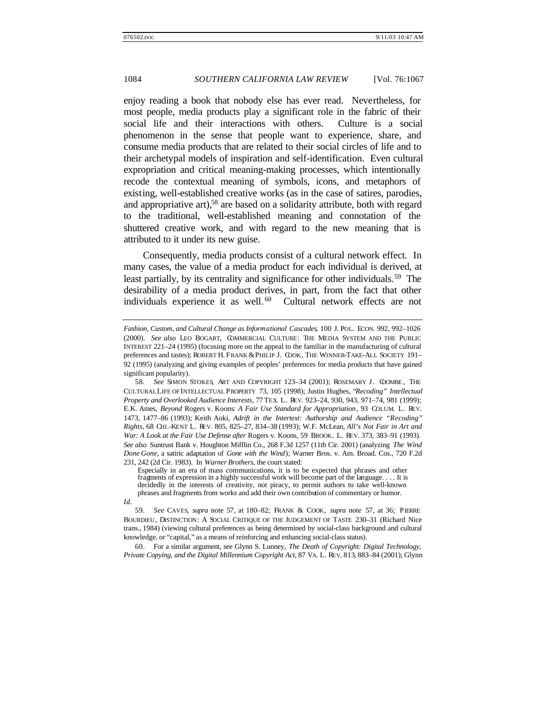enjoy reading a book that nobody else has ever read. Nevertheless, for most people, media products play a significant role in the fabric of their social life and their interactions with others. Culture is a social phenomenon in the sense that people want to experience, share, and consume media products that are related to their social circles of life and to their archetypal models of inspiration and self-identification. Even cultural expropriation and critical meaning-making processes, which intentionally recode the contextual meaning of symbols, icons, and metaphors of existing, well-established creative works (as in the case of satires, parodies, and appropriative art),<sup>58</sup> are based on a solidarity attribute, both with regard to the traditional, well-established meaning and connotation of the shuttered creative work, and with regard to the new meaning that is attributed to it under its new guise.

Consequently, media products consist of a cultural network effect.In many cases, the value of a media product for each individual is derived, at least partially, by its centrality and significance for other individuals.<sup>59</sup> The desirability of a media product derives, in part, from the fact that other individuals experience it as well.  $60$  Cultural network effects are not

60. For a similar argument, see Glynn S. Lunney, *The Death of Copyright: Digital Technology, Private Copying, and the Digital Millennium Copyright Act*, 87 VA. L. REV. 813, 883–84 (2001); Glynn

*Fashion, Custom, and Cultural Change as Informational Cascades*, 100 J. POL. ECON. 992, 992–1026 (2000). *See also* LEO BOGART, COMMERCIAL CULTURE: THE MEDIA SYSTEM AND THE PUBLIC INTEREST 221–24 (1995) (focusing more on the appeal to the familiar in the manufacturing of cultural preferences and tastes); ROBERT H. FRANK & PHILIP J. COOK, THE WINNER-TAKE-ALL SOCIETY 191– 92 (1995) (analyzing and giving examples of peoples' preferences for media products that have gained significant popularity).

<sup>58</sup>*. See* SIMON STOKES, ART AND COPYRIGHT 123–34 (2001); ROSEMARY J. COOMBE , THE CULTURAL LIFE OF INTELLECTUAL PROPERTY 73, 105 (1998); Justin Hughes, "*Recoding" Intellectual Property and Overlooked Audience Interests*, 77 TEX. L. REV. 923–24, 930, 943, 971–74, 981 (1999); E.K. Ames, *Beyond* Rogers v. Koons*: A Fair Use Standard for Appropriation*, 93 COLUM. L. REV. 1473, 1477–86 (1993); Keith Aoki, *Adrift in the Intertext: Authorship and Audience "Recoding" Rights*, 68 CHI.-KENT L. REV. 805, 825–27, 834–38 (1993); W.F. McLean, *All's Not Fair in Art and War: A Look at the Fair Use Defense after* Rogers v. Koons, 59 BROOK. L. REV. 373, 383–91 (1993). *See also* Suntrust Bank v. Houghton Mifflin Co., 268 F.3d 1257 (11th Cir. 2001) (analyzing *The Wind Done Gone*, a satiric adaptation of *Gone with the Wind*); Warner Bros. v. Am. Broad. Cos., 720 F.2d 231, 242 (2d Cir. 1983). In *Warner Brothers*, the court stated:

Especially in an era of mass communications, it is to be expected that phrases and other fragments of expression in a highly successful work will become part of the language. . . . It is decidedly in the interests of creativity, not piracy, to permit authors to take well-known phrases and fragments from works and add their own contribution of commentary or humor.

*Id.*

<sup>59</sup>*. See* CAVES, *supra* note 57, at 180–82; FRANK & COOK, *supra* note 57, at 36; PIERRE BOURDIEU, DISTINCTION: A SOCIAL CRITIQUE OF THE JUDGEMENT OF TASTE 230–31 (Richard Nice trans., 1984) (viewing cultural preferences as being determined by social-class background and cultural knowledge, or "capital," as a means of reinforcing and enhancing social-class status).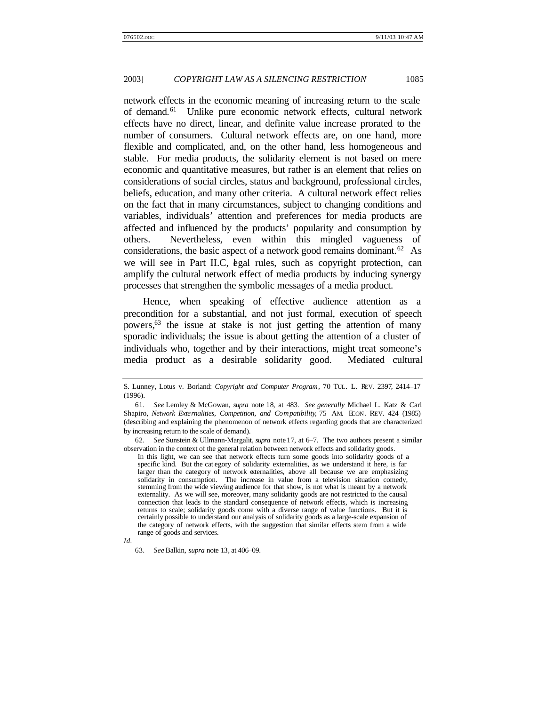network effects in the economic meaning of increasing return to the scale of demand.<sup>61</sup> Unlike pure economic network effects, cultural network effects have no direct, linear, and definite value increase prorated to the number of consumers. Cultural network effects are, on one hand, more flexible and complicated, and, on the other hand, less homogeneous and stable. For media products, the solidarity element is not based on mere economic and quantitative measures, but rather is an element that relies on considerations of social circles, status and background, professional circles, beliefs, education, and many other criteria. A cultural network effect relies on the fact that in many circumstances, subject to changing conditions and variables, individuals' attention and preferences for media products are affected and influenced by the products' popularity and consumption by others. Nevertheless, even within this mingled vagueness of considerations, the basic aspect of a network good remains dominant.<sup>62</sup> As we will see in Part II.C, egal rules, such as copyright protection, can amplify the cultural network effect of media products by inducing synergy processes that strengthen the symbolic messages of a media product.

Hence, when speaking of effective audience attention as a precondition for a substantial, and not just formal, execution of speech powers,<sup>63</sup> the issue at stake is not just getting the attention of many sporadic individuals; the issue is about getting the attention of a cluster of individuals who, together and by their interactions, might treat someone's media product as a desirable solidarity good. Mediated cultural

S. Lunney, Lotus v. Borland: *Copyright and Computer Program*, 70 TUL. L. REV. 2397, 2414–17 (1996).

<sup>61</sup>*. See* Lemley & McGowan, *supra* note 18, at 483. *See generally* Michael L. Katz & Carl Shapiro, *Network Externalities, Competition, and Compatibility*, 75 AM. ECON. REV. 424 (1985) (describing and explaining the phenomenon of network effects regarding goods that are characterized by increasing return to the scale of demand).

<sup>62</sup>*. See* Sunstein & Ullmann-Margalit, *supra* note 17, at 6–7. The two authors present a similar observation in the context of the general relation between network effects and solidarity goods.

In this light, we can see that network effects turn some goods into solidarity goods of a specific kind. But the cat egory of solidarity externalities, as we understand it here, is far larger than the category of network externalities, above all because we are emphasizing solidarity in consumption. The increase in value from a television situation comedy, stemming from the wide viewing audience for that show, is not what is meant by a network externality. As we will see, moreover, many solidarity goods are not restricted to the causal connection that leads to the standard consequence of network effects, which is increasing returns to scale; solidarity goods come with a diverse range of value functions. But it is certainly possible to understand our analysis of solidarity goods as a large-scale expansion of the category of network effects, with the suggestion that similar effects stem from a wide range of goods and services.

*Id.*

<sup>63</sup>*. See* Balkin, *supra* note 13, at 406–09.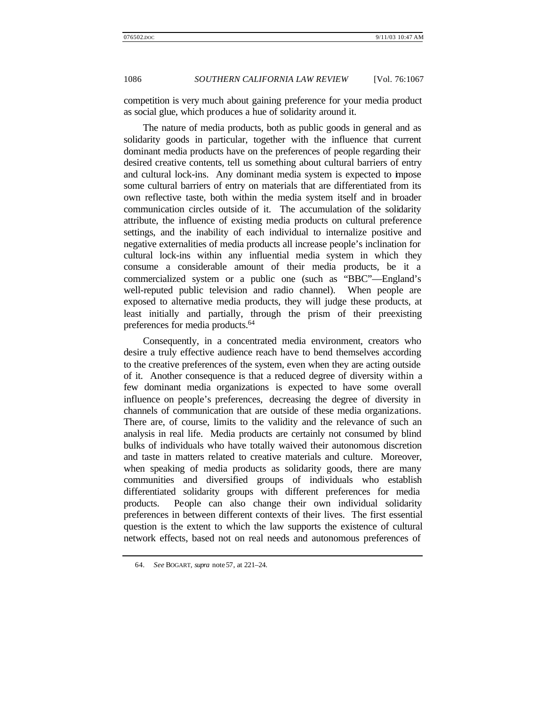competition is very much about gaining preference for your media product as social glue, which produces a hue of solidarity around it.

The nature of media products, both as public goods in general and as solidarity goods in particular, together with the influence that current dominant media products have on the preferences of people regarding their desired creative contents, tell us something about cultural barriers of entry and cultural lock-ins. Any dominant media system is expected to impose some cultural barriers of entry on materials that are differentiated from its own reflective taste, both within the media system itself and in broader communication circles outside of it. The accumulation of the solidarity attribute, the influence of existing media products on cultural preference settings, and the inability of each individual to internalize positive and negative externalities of media products all increase people's inclination for cultural lock-ins within any influential media system in which they consume a considerable amount of their media products, be it a commercialized system or a public one (such as "BBC"—England's well-reputed public television and radio channel). When people are exposed to alternative media products, they will judge these products, at least initially and partially, through the prism of their preexisting preferences for media products.<sup>64</sup>

Consequently, in a concentrated media environment, creators who desire a truly effective audience reach have to bend themselves according to the creative preferences of the system, even when they are acting outside of it. Another consequence is that a reduced degree of diversity within a few dominant media organizations is expected to have some overall influence on people's preferences, decreasing the degree of diversity in channels of communication that are outside of these media organizations. There are, of course, limits to the validity and the relevance of such an analysis in real life. Media products are certainly not consumed by blind bulks of individuals who have totally waived their autonomous discretion and taste in matters related to creative materials and culture. Moreover, when speaking of media products as solidarity goods, there are many communities and diversified groups of individuals who establish differentiated solidarity groups with different preferences for media products. People can also change their own individual solidarity preferences in between different contexts of their lives. The first essential question is the extent to which the law supports the existence of cultural network effects, based not on real needs and autonomous preferences of

<sup>64</sup>*. See* BOGART, *supra* note 57, at 221–24.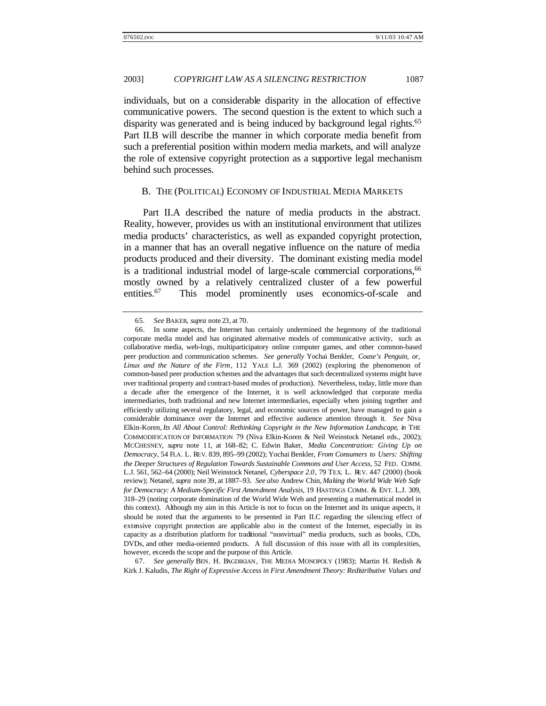individuals, but on a considerable disparity in the allocation of effective communicative powers. The second question is the extent to which such a disparity was generated and is being induced by background legal rights.<sup>65</sup> Part II.B will describe the manner in which corporate media benefit from such a preferential position within modern media markets, and will analyze the role of extensive copyright protection as a supportive legal mechanism behind such processes.

#### B. THE (POLITICAL) ECONOMY OF INDUSTRIAL MEDIA MARKETS

Part II.A described the nature of media products in the abstract. Reality, however, provides us with an institutional environment that utilizes media products' characteristics, as well as expanded copyright protection, in a manner that has an overall negative influence on the nature of media products produced and their diversity. The dominant existing media model is a traditional industrial model of large-scale commercial corporations,<sup>66</sup> mostly owned by a relatively centralized cluster of a few powerful entities.<sup>67</sup> This model prominently uses economics-of-scale and

67*. See generally* BEN. H. BAGDIKIAN, THE MEDIA MONOPOLY (1983); Martin H. Redish & Kirk J. Kaludis, *The Right of Expressive Access in First Amendment Theory: Redistributive Values and*

<sup>65</sup>*. See* BAKER, *supra* note 23, at 70.

<sup>66.</sup> In some aspects, the Internet has certainly undermined the hegemony of the traditional corporate media model and has originated alternative models of communicative activity, such as collaborative media, web-logs, multiparticipatory online computer games, and other common-based peer production and communication schemes. *See generally* Yochai Benkler, *Coase's Penguin, or, Linux and the Nature of the Firm*, 112 YALE L.J. 369 (2002) (exploring the phenomenon of common-based peer production schemes and the advantages that such decentralized systems might have over traditional property and contract-based modes of production). Nevertheless, today, little more than a decade after the emergence of the Internet, it is well acknowledged that corporate media intermediaries, both traditional and new Internet intermediaries, especially when joining together and efficiently utilizing several regulatory, legal, and economic sources of power, have managed to gain a considerable dominance over the Internet and effective audience attention through it. *See* Niva Elkin-Koren, *Its All About Control: Rethinking Copyright in the New Information Landscape*, *in* THE COMMODIFICATION OF INFORMATION 79 (Niva Elkin-Koren & Neil Weinstock Netanel eds., 2002); MCCHESNEY, *supra* note 11, at 168–82; C. Edwin Baker, *Media Concentration: Giving Up on Democracy*, 54 FLA. L. REV. 839, 895–99 (2002); Yochai Benkler, *From Consumers to Users: Shifting the Deeper Structures of Regulation Towards Sustainable Commons and User Access*, 52 FED. COMM. L.J. 561, 562–64 (2000); Neil Weinstock Netanel, *Cyberspace 2.0*, 79 TEX. L. REV. 447 (2000) (book review); Netanel, *supra* note 39, at 1887–93. *See also* Andrew Chin, *Making the World Wide Web Safe for Democracy: A Medium-Specific First Amendment Analysis*, 19 HASTINGS COMM. & ENT. L.J. 309, 318–29 (noting corporate domination of the World Wide Web and presenting a mathematical model in this context). Although my aim in this Article is not to focus on the Internet and its unique aspects, it should be noted that the arguments to be presented in Part II.C regarding the silencing effect of extensive copyright protection are applicable also in the context of the Internet, especially in its capacity as a distribution platform for traditional "nonvirtual" media products, such as books, CDs, DVDs, and other media-oriented products. A full discussion of this issue with all its complexities, however, exceeds the scope and the purpose of this Article.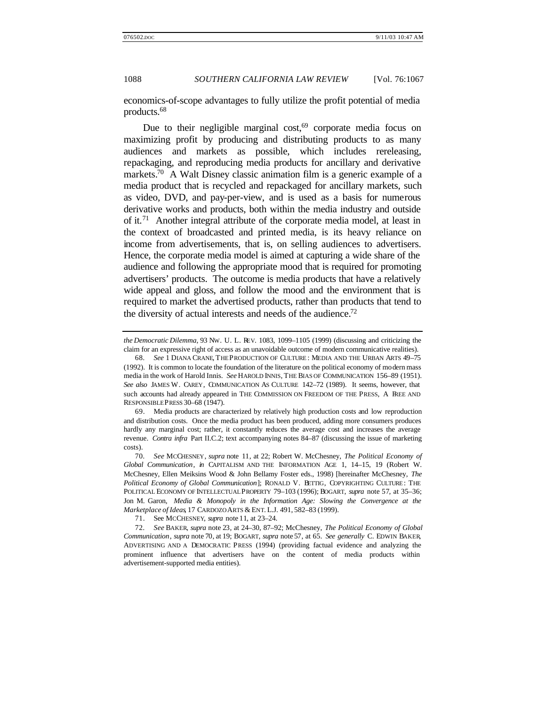economics-of-scope advantages to fully utilize the profit potential of media products.<sup>68</sup>

Due to their negligible marginal  $cost<sub>0</sub><sup>69</sup>$  corporate media focus on maximizing profit by producing and distributing products to as many audiences and markets as possible, which includes rereleasing, repackaging, and reproducing media products for ancillary and derivative markets.<sup>70</sup> A Walt Disney classic animation film is a generic example of a media product that is recycled and repackaged for ancillary markets, such as video, DVD, and pay-per-view, and is used as a basis for numerous derivative works and products, both within the media industry and outside of it.<sup>71</sup> Another integral attribute of the corporate media model, at least in the context of broadcasted and printed media, is its heavy reliance on income from advertisements, that is, on selling audiences to advertisers. Hence, the corporate media model is aimed at capturing a wide share of the audience and following the appropriate mood that is required for promoting advertisers' products. The outcome is media products that have a relatively wide appeal and gloss, and follow the mood and the environment that is required to market the advertised products, rather than products that tend to the diversity of actual interests and needs of the audience.<sup>72</sup>

71. See MCCHESNEY, *supra* note 11, at 23–24.

72*. See* BAKER, *supra* note 23, at 24–30, 87–92; McChesney, *The Political Economy of Global Communication*, *supra* note 70, at 19; BOGART, *supra* note 57, at 65. *See generally* C. EDWIN BAKER, ADVERTISING AND A DEMOCRATIC PRESS (1994) (providing factual evidence and analyzing the prominent influence that advertisers have on the content of media products within advertisement-supported media entities).

*the Democratic Dilemma*, 93 NW. U. L. REV. 1083, 1099–1105 (1999) (discussing and criticizing the claim for an expressive right of access as an unavoidable outcome of modern communicative realities).

<sup>68</sup>*. See* 1 DIANA CRANE, THE PRODUCTION OF CULTURE : MEDIA AND THE URBAN ARTS 49–75 (1992). It is common to locate the foundation of the literature on the political economy of modern mass media in the work of Harold Innis. *See* HAROLD INNIS, THE BIAS OF COMMUNICATION 156–89 (1951). *See also* JAMES W. CAREY, COMMUNICATION AS CULTURE 142–72 (1989). It seems, however, that such accounts had already appeared in THE COMMISSION ON FREEDOM OF THE PRESS, A FREE AND RESPONSIBLE PRESS 30–68 (1947).

<sup>69.</sup> Media products are characterized by relatively high production costs and low reproduction and distribution costs. Once the media product has been produced, adding more consumers produces hardly any marginal cost; rather, it constantly reduces the average cost and increases the average revenue. *Contra infra* Part II.C.2; text accompanying notes 84–87 (discussing the issue of marketing costs).

<sup>70</sup>*. See* MCCHESNEY, *supra* note 11, at 22; Robert W. McChesney, *The Political Economy of Global Communication*, *in* CAPITALISM AND THE INFORMATION AGE 1, 14–15, 19 (Robert W. McChesney, Ellen Meiksins Wood & John Bellamy Foster eds., 1998) [hereinafter McChesney, *The Political Economy of Global Communication*]; RONALD V. BETTIG, COPYRIGHTING CULTURE : THE POLITICAL ECONOMY OF INTELLECTUAL PROPERTY 79–103 (1996); BOGART, *supra* note 57, at 35–36; Jon M. Garon, *Media & Monopoly in the Information Age: Slowing the Convergence at the Marketplace of Ideas*, 17 CARDOZO ARTS & ENT. L.J. 491, 582–83 (1999).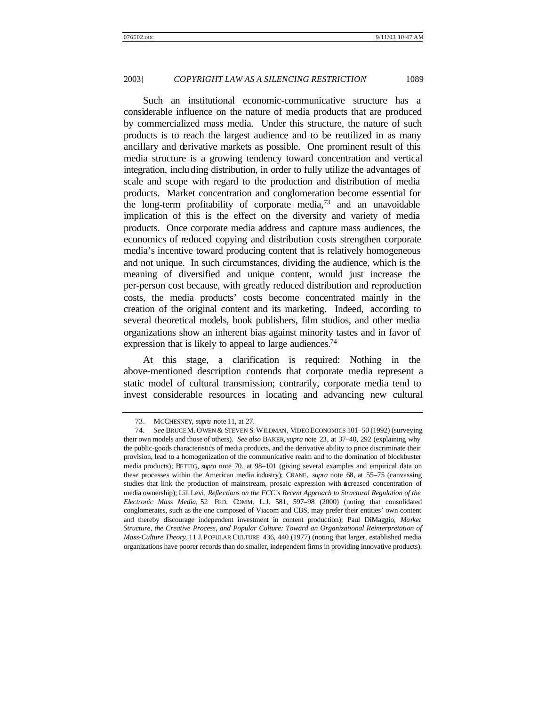Such an institutional economic-communicative structure has a considerable influence on the nature of media products that are produced by commercialized mass media. Under this structure, the nature of such products is to reach the largest audience and to be reutilized in as many ancillary and derivative markets as possible. One prominent result of this media structure is a growing tendency toward concentration and vertical integration, including distribution, in order to fully utilize the advantages of scale and scope with regard to the production and distribution of media products. Market concentration and conglomeration become essential for the long-term profitability of corporate media,  $73$  and an unavoidable implication of this is the effect on the diversity and variety of media products. Once corporate media address and capture mass audiences, the economics of reduced copying and distribution costs strengthen corporate media's incentive toward producing content that is relatively homogeneous and not unique. In such circumstances, dividing the audience, which is the meaning of diversified and unique content, would just increase the per-person cost because, with greatly reduced distribution and reproduction costs, the media products' costs become concentrated mainly in the creation of the original content and its marketing. Indeed, according to several theoretical models, book publishers, film studios, and other media organizations show an inherent bias against minority tastes and in favor of expression that is likely to appeal to large audiences.<sup>74</sup>

At this stage, a clarification is required: Nothing in the above-mentioned description contends that corporate media represent a static model of cultural transmission; contrarily, corporate media tend to invest considerable resources in locating and advancing new cultural

<sup>73.</sup> MCCHESNEY, *supra* note 11, at 27.

<sup>74</sup>*. See* BRUCE M. OWEN & STEVEN S. WILDMAN, VIDEO ECONOMICS 101–50 (1992) (surveying their own models and those of others). *See also* BAKER, *supra* note 23, at 37–40, 292 (explaining why the public-goods characteristics of media products, and the derivative ability to price discriminate their provision, lead to a homogenization of the communicative realm and to the domination of blockbuster media products); BETTIG, *supra* note 70, at 98–101 (giving several examples and empirical data on these processes within the American media industry); CRANE, *supra* note 68, at 55–75 (canvassing studies that link the production of mainstream, prosaic expression with increased concentration of media ownership); Lili Levi, *Reflections on the FCC's Recent Approach to Structural Regulation of the Electronic Mass Media*, 52 FED. COMM. L.J. 581, 597–98 (2000) (noting that consolidated conglomerates, such as the one composed of Viacom and CBS, may prefer their entities' own content and thereby discourage independent investment in content production); Paul DiMaggio, *Market Structure, the Creative Process, and Popular Culture: Toward an Organizational Reinterpretation of Mass-Culture Theory*, 11 J. POPULAR CULTURE 436, 440 (1977) (noting that larger, established media organizations have poorer records than do smaller, independent firms in providing innovative products).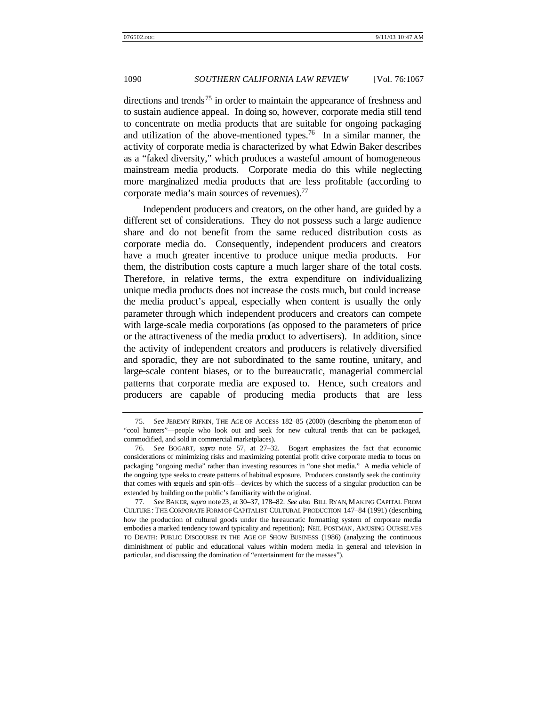directions and trends<sup>75</sup> in order to maintain the appearance of freshness and to sustain audience appeal. In doing so, however, corporate media still tend to concentrate on media products that are suitable for ongoing packaging and utilization of the above-mentioned types.<sup>76</sup> In a similar manner, the activity of corporate media is characterized by what Edwin Baker describes as a "faked diversity," which produces a wasteful amount of homogeneous mainstream media products. Corporate media do this while neglecting more marginalized media products that are less profitable (according to corporate media's main sources of revenues).<sup>77</sup>

Independent producers and creators, on the other hand, are guided by a different set of considerations. They do not possess such a large audience share and do not benefit from the same reduced distribution costs as corporate media do. Consequently, independent producers and creators have a much greater incentive to produce unique media products. For them, the distribution costs capture a much larger share of the total costs. Therefore, in relative terms, the extra expenditure on individualizing unique media products does not increase the costs much, but could increase the media product's appeal, especially when content is usually the only parameter through which independent producers and creators can compete with large-scale media corporations (as opposed to the parameters of price or the attractiveness of the media product to advertisers). In addition, since the activity of independent creators and producers is relatively diversified and sporadic, they are not subordinated to the same routine, unitary, and large-scale content biases, or to the bureaucratic, managerial commercial patterns that corporate media are exposed to. Hence, such creators and producers are capable of producing media products that are less

<sup>75</sup>*. See* JEREMY RIFKIN, THE AGE OF ACCESS 182–85 (2000) (describing the phenomenon of "cool hunters"—people who look out and seek for new cultural trends that can be packaged, commodified, and sold in commercial marketplaces).

<sup>76</sup>*. See* BOGART, *supra* note 57, at 27–32. Bogart emphasizes the fact that economic considerations of minimizing risks and maximizing potential profit drive corporate media to focus on packaging "ongoing media" rather than investing resources in "one shot media." A media vehicle of the ongoing type seeks to create patterns of habitual exposure. Producers constantly seek the continuity that comes with sequels and spin-offs—devices by which the success of a singular production can be extended by building on the public's familiarity with the original.

<sup>77</sup>*. See* BAKER, *supra* note 23, at 30–37, 178–82. *See also* BILL RYAN, MAKING CAPITAL FROM CULTURE : THE CORPORATE FORM OF CAPITALIST CULTURAL PRODUCTION 147–84 (1991) (describing how the production of cultural goods under the bureaucratic formatting system of corporate media embodies a marked tendency toward typicality and repetition); NEIL POSTMAN, AMUSING OURSELVES TO DEATH: PUBLIC DISCOURSE IN THE AGE OF SHOW BUSINESS (1986) (analyzing the continuous diminishment of public and educational values within modern media in general and television in particular, and discussing the domination of "entertainment for the masses").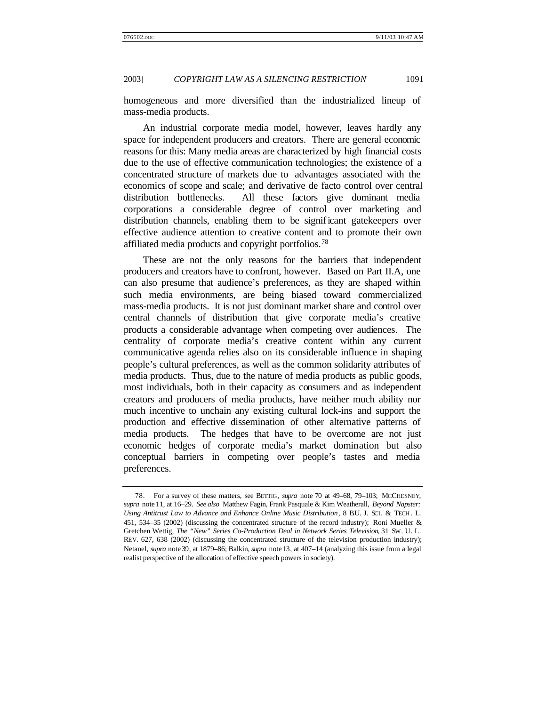homogeneous and more diversified than the industrialized lineup of mass-media products.

An industrial corporate media model, however, leaves hardly any space for independent producers and creators. There are general economic reasons for this: Many media areas are characterized by high financial costs due to the use of effective communication technologies; the existence of a concentrated structure of markets due to advantages associated with the economics of scope and scale; and derivative de facto control over central distribution bottlenecks. All these factors give dominant media corporations a considerable degree of control over marketing and distribution channels, enabling them to be significant gatekeepers over effective audience attention to creative content and to promote their own affiliated media products and copyright portfolios.<sup>78</sup>

These are not the only reasons for the barriers that independent producers and creators have to confront, however. Based on Part II.A, one can also presume that audience's preferences, as they are shaped within such media environments, are being biased toward commercialized mass-media products. It is not just dominant market share and control over central channels of distribution that give corporate media's creative products a considerable advantage when competing over audiences. The centrality of corporate media's creative content within any current communicative agenda relies also on its considerable influence in shaping people's cultural preferences, as well as the common solidarity attributes of media products. Thus, due to the nature of media products as public goods, most individuals, both in their capacity as consumers and as independent creators and producers of media products, have neither much ability nor much incentive to unchain any existing cultural lock-ins and support the production and effective dissemination of other alternative patterns of media products. The hedges that have to be overcome are not just economic hedges of corporate media's market domination but also conceptual barriers in competing over people's tastes and media preferences.

<sup>78.</sup> For a survey of these matters, see BETTIG, *supra* note 70 at 49–68, 79–103; MCCHESNEY, *supra* note 11, at 16–29. *See also* Matthew Fagin, Frank Pasquale & Kim Weatherall, *Beyond Napster:* Using Antitrust Law to Advance and Enhance Online Music Distribution, 8 B.U. J. SCI. & TECH. L. 451, 534–35 (2002) (discussing the concentrated structure of the record industry); Roni Mueller & Gretchen Wettig, *The "New" Series Co-Production Deal in Network Series Television*, 31 SW. U. L. REV. 627, 638 (2002) (discussing the concentrated structure of the television production industry); Netanel, *supra* note 39, at 1879–86; Balkin, *supra* note 13, at 407–14 (analyzing this issue from a legal realist perspective of the allocation of effective speech powers in society).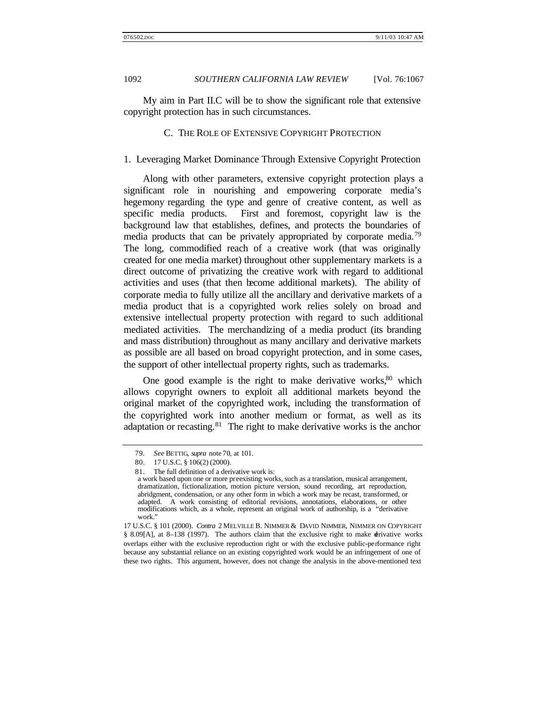My aim in Part II.C will be to show the significant role that extensive copyright protection has in such circumstances.

### C. THE ROLE OF EXTENSIVE COPYRIGHT PROTECTION

# 1. Leveraging Market Dominance Through Extensive Copyright Protection

Along with other parameters, extensive copyright protection plays a significant role in nourishing and empowering corporate media's hegemony regarding the type and genre of creative content, as well as specific media products. First and foremost, copyright law is the background law that establishes, defines, and protects the boundaries of media products that can be privately appropriated by corporate media.<sup>79</sup> The long, commodified reach of a creative work (that was originally created for one media market) throughout other supplementary markets is a direct outcome of privatizing the creative work with regard to additional activities and uses (that then become additional markets). The ability of corporate media to fully utilize all the ancillary and derivative markets of a media product that is a copyrighted work relies solely on broad and extensive intellectual property protection with regard to such additional mediated activities. The merchandizing of a media product (its branding and mass distribution) throughout as many ancillary and derivative markets as possible are all based on broad copyright protection, and in some cases, the support of other intellectual property rights, such as trademarks.

One good example is the right to make derivative works, $80$  which allows copyright owners to exploit all additional markets beyond the original market of the copyrighted work, including the transformation of the copyrighted work into another medium or format, as well as its adaptation or recasting. $81$  The right to make derivative works is the anchor

<sup>79</sup>*. See* BETTIG, *supra* note 70, at 101.

<sup>80.</sup> 17 U.S.C. § 106(2) (2000).

<sup>81.</sup> The full definition of a derivative work is:

a work based upon one or more preexisting works, such as a translation, musical arrangement, dramatization, fictionalization, motion picture version, sound recording, art reproduction, abridgment, condensation, or any other form in which a work may be recast, transformed, or adapted. A work consisting of editorial revisions, annotations, elaborations, or other modifications which, as a whole, represent an original work of authorship, is a "derivative work."

<sup>17</sup> U.S.C. § 101 (2000). *Contra* 2 MELVILLE B. NIMMER & DAVID NIMMER, NIMMER ON COPYRIGHT § 8.09[A], at 8–138 (1997). The authors claim that the exclusive right to make derivative works overlaps either with the exclusive reproduction right or with the exclusive public-performance right because any substantial reliance on an existing copyrighted work would be an infringement of one of these two rights. This argument, however, does not change the analysis in the above-mentioned text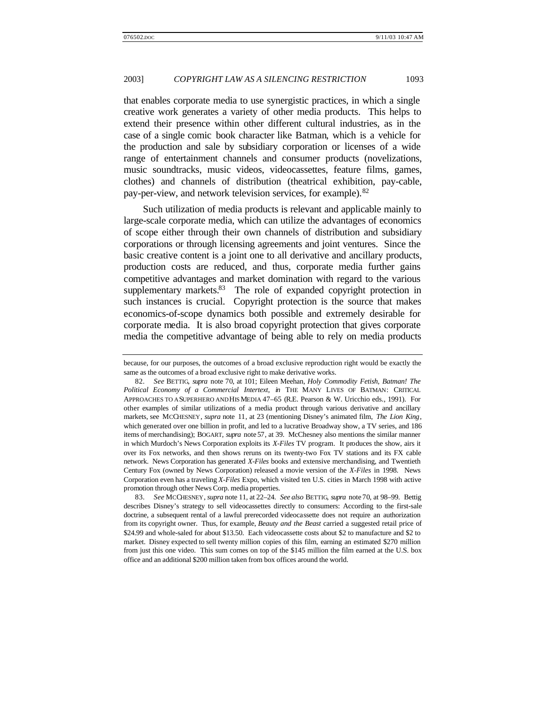that enables corporate media to use synergistic practices, in which a single creative work generates a variety of other media products. This helps to extend their presence within other different cultural industries, as in the case of a single comic book character like Batman, which is a vehicle for the production and sale by subsidiary corporation or licenses of a wide range of entertainment channels and consumer products (novelizations, music soundtracks, music videos, videocassettes, feature films, games, clothes) and channels of distribution (theatrical exhibition, pay-cable, pay-per-view, and network television services, for example).<sup>82</sup>

Such utilization of media products is relevant and applicable mainly to large-scale corporate media, which can utilize the advantages of economics of scope either through their own channels of distribution and subsidiary corporations or through licensing agreements and joint ventures. Since the basic creative content is a joint one to all derivative and ancillary products, production costs are reduced, and thus, corporate media further gains competitive advantages and market domination with regard to the various supplementary markets. $83$  The role of expanded copyright protection in such instances is crucial. Copyright protection is the source that makes economics-of-scope dynamics both possible and extremely desirable for corporate media. It is also broad copyright protection that gives corporate media the competitive advantage of being able to rely on media products

83*. See* MCCHESNEY, *supra* note 11, at 22–24. *See also* BETTIG, *supra* note 70, at 98–99. Bettig describes Disney's strategy to sell videocassettes directly to consumers: According to the first-sale doctrine, a subsequent rental of a lawful prerecorded videocassette does not require an authorization from its copyright owner. Thus, for example, *Beauty and the Beast* carried a suggested retail price of \$24.99 and whole-saled for about \$13.50. Each videocassette costs about \$2 to manufacture and \$2 to market. Disney expected to sell twenty million copies of this film, earning an estimated \$270 million from just this one video. This sum comes on top of the \$145 million the film earned at the U.S. box office and an additional \$200 million taken from box offices around the world.

because, for our purposes, the outcomes of a broad exclusive reproduction right would be exactly the same as the outcomes of a broad exclusive right to make derivative works.

<sup>82</sup>*. See* BETTIG, *supra* note 70, at 101; Eileen Meehan, *Holy Commodity Fetish, Batman! The Political Economy of a Commercial Intertext*, *in* THE MANY LIVES OF BATMAN: CRITICAL APPROACHES TO A SUPERHERO AND HIS MEDIA 47–65 (R.E. Pearson & W. Uricchio eds., 1991). For other examples of similar utilizations of a media product through various derivative and ancillary markets, see MCCHESNEY, *supra* note 11, at 23 (mentioning Disney's animated film, *The Lion King*, which generated over one billion in profit, and led to a lucrative Broadway show, a TV series, and 186 items of merchandising); BOGART, *supra* note 57, at 39. McChesney also mentions the similar manner in which Murdoch's News Corporation exploits its *X-Files* TV program. It produces the show, airs it over its Fox networks, and then shows reruns on its twenty-two Fox TV stations and its FX cable network. News Corporation has generated *X-Files* books and extensive merchandising, and Twentieth Century Fox (owned by News Corporation) released a movie version of the *X-Files* in 1998. News Corporation even has a traveling *X-Files* Expo, which visited ten U.S. cities in March 1998 with active promotion through other News Corp. media properties.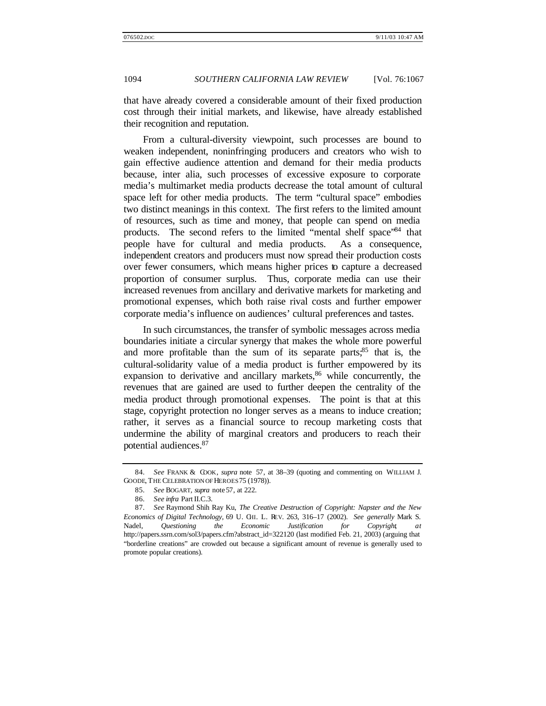that have already covered a considerable amount of their fixed production cost through their initial markets, and likewise, have already established their recognition and reputation.

From a cultural-diversity viewpoint, such processes are bound to weaken independent, noninfringing producers and creators who wish to gain effective audience attention and demand for their media products because, inter alia, such processes of excessive exposure to corporate media's multimarket media products decrease the total amount of cultural space left for other media products. The term "cultural space" embodies two distinct meanings in this context. The first refers to the limited amount of resources, such as time and money, that people can spend on media products. The second refers to the limited "mental shelf space"<sup>84</sup> that people have for cultural and media products. As a consequence, independent creators and producers must now spread their production costs over fewer consumers, which means higher prices to capture a decreased proportion of consumer surplus. Thus, corporate media can use their increased revenues from ancillary and derivative markets for marketing and promotional expenses, which both raise rival costs and further empower corporate media's influence on audiences' cultural preferences and tastes.

In such circumstances, the transfer of symbolic messages across media boundaries initiate a circular synergy that makes the whole more powerful and more profitable than the sum of its separate parts; $85$  that is, the cultural-solidarity value of a media product is further empowered by its expansion to derivative and ancillary markets, $86$  while concurrently, the revenues that are gained are used to further deepen the centrality of the media product through promotional expenses. The point is that at this stage, copyright protection no longer serves as a means to induce creation; rather, it serves as a financial source to recoup marketing costs that undermine the ability of marginal creators and producers to reach their potential audiences.<sup>87</sup>

<sup>84</sup>*. See* FRANK & COOK, *supra* note 57, at 38–39 (quoting and commenting on WILLIAM J. GOODE, THE CELEBRATION OF HEROES 75 (1978)).

<sup>85</sup>*. See* BOGART, *supra* note 57, at 222.

<sup>86</sup>*. See infra* Part II.C.3.

<sup>87</sup>*. See* Raymond Shih Ray Ku, *The Creative Destruction of Copyright: Napster and the New Economics of Digital Technology*, 69 U. CHI. L. REV. 263, 316–17 (2002). *See generally* Mark S. Nadel, *Questioning the Economic Justification for Copyright*, *at* http://papers.ssrn.com/sol3/papers.cfm?abstract\_id=322120 (last modified Feb. 21, 2003) (arguing that "borderline creations" are crowded out because a significant amount of revenue is generally used to promote popular creations).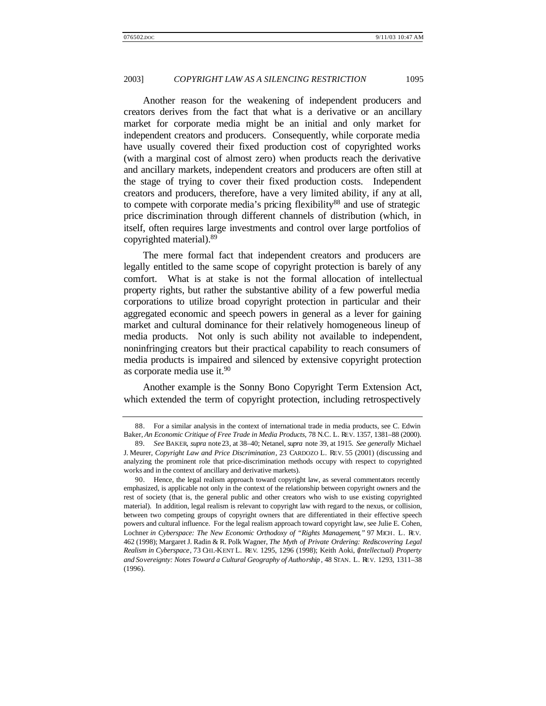Another reason for the weakening of independent producers and creators derives from the fact that what is a derivative or an ancillary market for corporate media might be an initial and only market for independent creators and producers. Consequently, while corporate media have usually covered their fixed production cost of copyrighted works (with a marginal cost of almost zero) when products reach the derivative and ancillary markets, independent creators and producers are often still at the stage of trying to cover their fixed production costs. Independent creators and producers, therefore, have a very limited ability, if any at all, to compete with corporate media's pricing flexibility<sup>88</sup> and use of strategic price discrimination through different channels of distribution (which, in itself, often requires large investments and control over large portfolios of copyrighted material).<sup>89</sup>

The mere formal fact that independent creators and producers are legally entitled to the same scope of copyright protection is barely of any comfort. What is at stake is not the formal allocation of intellectual property rights, but rather the substantive ability of a few powerful media corporations to utilize broad copyright protection in particular and their aggregated economic and speech powers in general as a lever for gaining market and cultural dominance for their relatively homogeneous lineup of media products. Not only is such ability not available to independent, noninfringing creators but their practical capability to reach consumers of media products is impaired and silenced by extensive copyright protection as corporate media use it.<sup>90</sup>

Another example is the Sonny Bono Copyright Term Extension Act, which extended the term of copyright protection, including retrospectively

<sup>88.</sup> For a similar analysis in the context of international trade in media products, see C. Edwin Baker, *An Economic Critique of Free Trade in Media Products*, 78 N.C. L. REV. 1357, 1381–88 (2000).

<sup>89</sup>*. See* BAKER, *supra* note 23, at 38–40; Netanel, *supra* note 39, at 1915. *See generally* Michael J. Meurer, *Copyright Law and Price Discrimination*, 23 CARDOZO L. REV. 55 (2001) (discussing and analyzing the prominent role that price-discrimination methods occupy with respect to copyrighted works and in the context of ancillary and derivative markets).

<sup>90.</sup> Hence, the legal realism approach toward copyright law, as several commentators recently emphasized, is applicable not only in the context of the relationship between copyright owners and the rest of society (that is, the general public and other creators who wish to use existing copyrighted material). In addition, legal realism is relevant to copyright law with regard to the nexus, or collision, between two competing groups of copyright owners that are differentiated in their effective speech powers and cultural influence. For the legal realism approach toward copyright law, see Julie E. Cohen, Lochner *in Cyberspace: The New Economic Orthodoxy of "Rights Management*,*"* 97 MICH. L. REV. 462 (1998); Margaret J. Radin & R. Polk Wagner, *The Myth of Private Ordering: Rediscovering Legal Realism in Cyberspace*, 73 CHI.-KENT L. REV. 1295, 1296 (1998); Keith Aoki, (*Intellectual) Property and Sovereignty: Notes Toward a Cultural Geography of Authorship* , 48 STAN. L. REV. 1293, 1311–38 (1996).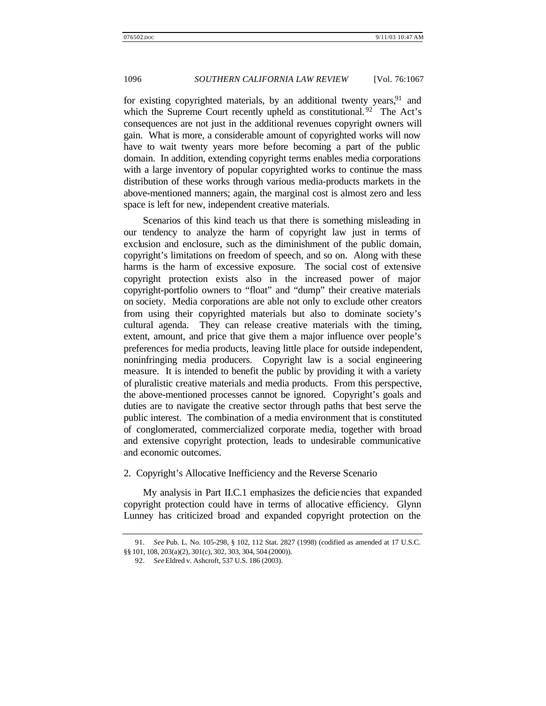for existing copyrighted materials, by an additional twenty years,  $91$  and which the Supreme Court recently upheld as constitutional.<sup>92</sup> The Act's consequences are not just in the additional revenues copyright owners will gain. What is more, a considerable amount of copyrighted works will now have to wait twenty years more before becoming a part of the public domain. In addition, extending copyright terms enables media corporations with a large inventory of popular copyrighted works to continue the mass distribution of these works through various media-products markets in the above-mentioned manners; again, the marginal cost is almost zero and less space is left for new, independent creative materials.

Scenarios of this kind teach us that there is something misleading in our tendency to analyze the harm of copyright law just in terms of exclusion and enclosure, such as the diminishment of the public domain, copyright's limitations on freedom of speech, and so on. Along with these harms is the harm of excessive exposure. The social cost of extensive copyright protection exists also in the increased power of major copyright-portfolio owners to "float" and "dump" their creative materials on society. Media corporations are able not only to exclude other creators from using their copyrighted materials but also to dominate society's cultural agenda. They can release creative materials with the timing, extent, amount, and price that give them a major influence over people's preferences for media products, leaving little place for outside independent, noninfringing media producers. Copyright law is a social engineering measure. It is intended to benefit the public by providing it with a variety of pluralistic creative materials and media products. From this perspective, the above-mentioned processes cannot be ignored. Copyright's goals and duties are to navigate the creative sector through paths that best serve the public interest. The combination of a media environment that is constituted of conglomerated, commercialized corporate media, together with broad and extensive copyright protection, leads to undesirable communicative and economic outcomes.

## 2. Copyright's Allocative Inefficiency and the Reverse Scenario

My analysis in Part II.C.1 emphasizes the deficiencies that expanded copyright protection could have in terms of allocative efficiency. Glynn Lunney has criticized broad and expanded copyright protection on the

<sup>91</sup>*. See* Pub. L. No. 105-298, § 102, 112 Stat. 2827 (1998) (codified as amended at 17 U.S.C. §§ 101, 108, 203(a)(2), 301(c), 302, 303, 304, 504 (2000)).

<sup>92</sup>*. See* Eldred v. Ashcroft, 537 U.S. 186 (2003).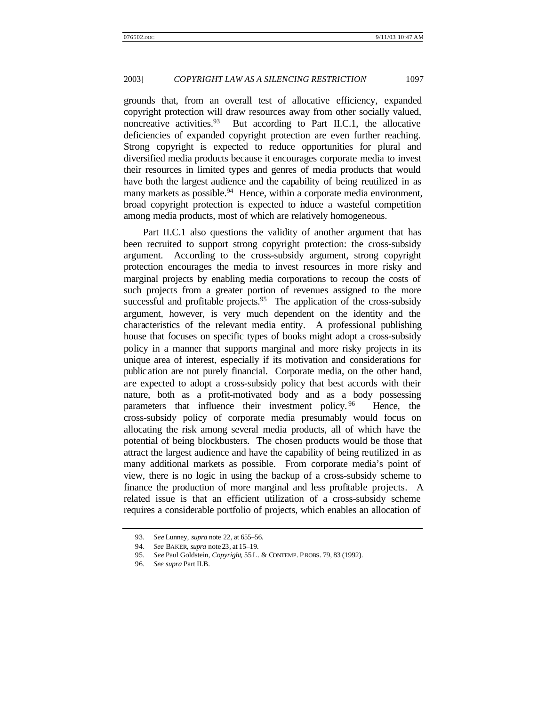grounds that, from an overall test of allocative efficiency, expanded copyright protection will draw resources away from other socially valued, noncreative activities.<sup>93</sup> But according to Part II.C.1, the allocative deficiencies of expanded copyright protection are even further reaching. Strong copyright is expected to reduce opportunities for plural and diversified media products because it encourages corporate media to invest their resources in limited types and genres of media products that would have both the largest audience and the capability of being reutilized in as many markets as possible.<sup>94</sup> Hence, within a corporate media environment, broad copyright protection is expected to induce a wasteful competition among media products, most of which are relatively homogeneous.

Part II.C.1 also questions the validity of another argument that has been recruited to support strong copyright protection: the cross-subsidy argument.According to the cross-subsidy argument, strong copyright protection encourages the media to invest resources in more risky and marginal projects by enabling media corporations to recoup the costs of such projects from a greater portion of revenues assigned to the more successful and profitable projects.<sup>95</sup> The application of the cross-subsidy argument, however, is very much dependent on the identity and the characteristics of the relevant media entity. A professional publishing house that focuses on specific types of books might adopt a cross-subsidy policy in a manner that supports marginal and more risky projects in its unique area of interest, especially if its motivation and considerations for publication are not purely financial. Corporate media, on the other hand, are expected to adopt a cross-subsidy policy that best accords with their nature, both as a profit-motivated body and as a body possessing parameters that influence their investment policy.<sup>96</sup> Hence, the cross-subsidy policy of corporate media presumably would focus on allocating the risk among several media products, all of which have the potential of being blockbusters. The chosen products would be those that attract the largest audience and have the capability of being reutilized in as many additional markets as possible. From corporate media's point of view, there is no logic in using the backup of a cross-subsidy scheme to finance the production of more marginal and less profitable projects. A related issue is that an efficient utilization of a cross-subsidy scheme requires a considerable portfolio of projects, which enables an allocation of

<sup>93</sup>*. See* Lunney, *supra* note 22, at 655–56.

<sup>94</sup>*. See* BAKER, *supra* note 23, at 15–19.

<sup>95</sup>*. See* Paul Goldstein, *Copyright*, 55 L. & CONTEMP. P ROBS. 79, 83 (1992).

<sup>96</sup>*. See supra* Part II.B.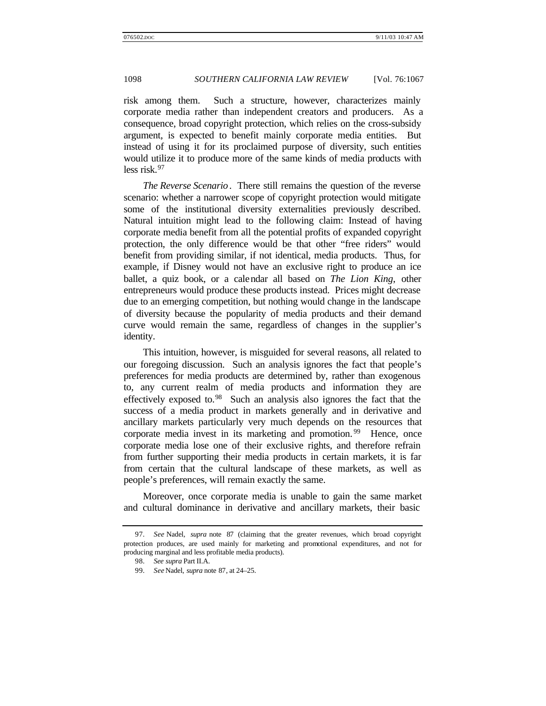risk among them. Such a structure, however, characterizes mainly corporate media rather than independent creators and producers. As a consequence, broad copyright protection, which relies on the cross-subsidy argument, is expected to benefit mainly corporate media entities. But instead of using it for its proclaimed purpose of diversity, such entities would utilize it to produce more of the same kinds of media products with less risk.<sup>97</sup>

*The Reverse Scenario*. There still remains the question of the reverse scenario: whether a narrower scope of copyright protection would mitigate some of the institutional diversity externalities previously described. Natural intuition might lead to the following claim: Instead of having corporate media benefit from all the potential profits of expanded copyright protection, the only difference would be that other "free riders" would benefit from providing similar, if not identical, media products. Thus, for example, if Disney would not have an exclusive right to produce an ice ballet, a quiz book, or a calendar all based on *The Lion King*, other entrepreneurs would produce these products instead. Prices might decrease due to an emerging competition, but nothing would change in the landscape of diversity because the popularity of media products and their demand curve would remain the same, regardless of changes in the supplier's identity.

This intuition, however, is misguided for several reasons, all related to our foregoing discussion. Such an analysis ignores the fact that people's preferences for media products are determined by, rather than exogenous to, any current realm of media products and information they are effectively exposed to.<sup>98</sup> Such an analysis also ignores the fact that the success of a media product in markets generally and in derivative and ancillary markets particularly very much depends on the resources that corporate media invest in its marketing and promotion.<sup>99</sup> Hence, once corporate media lose one of their exclusive rights, and therefore refrain from further supporting their media products in certain markets, it is far from certain that the cultural landscape of these markets, as well as people's preferences, will remain exactly the same.

Moreover, once corporate media is unable to gain the same market and cultural dominance in derivative and ancillary markets, their basic

99*. See* Nadel, *supra* note 87, at 24–25.

<sup>97</sup>*. See* Nadel, *supra* note 87 (claiming that the greater revenues, which broad copyright protection produces, are used mainly for marketing and promotional expenditures, and not for producing marginal and less profitable media products).

<sup>98</sup>*. See supra* Part II.A.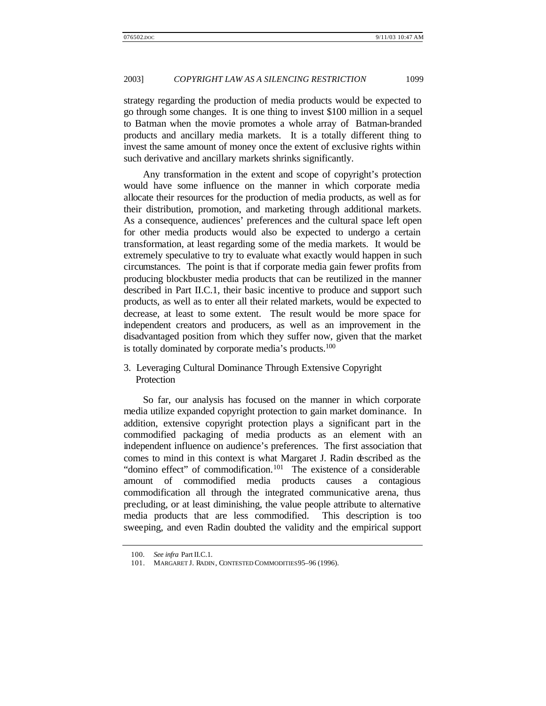strategy regarding the production of media products would be expected to go through some changes. It is one thing to invest \$100 million in a sequel to Batman when the movie promotes a whole array of Batman-branded products and ancillary media markets. It is a totally different thing to invest the same amount of money once the extent of exclusive rights within such derivative and ancillary markets shrinks significantly.

Any transformation in the extent and scope of copyright's protection would have some influence on the manner in which corporate media allocate their resources for the production of media products, as well as for their distribution, promotion, and marketing through additional markets. As a consequence, audiences' preferences and the cultural space left open for other media products would also be expected to undergo a certain transformation, at least regarding some of the media markets. It would be extremely speculative to try to evaluate what exactly would happen in such circumstances. The point is that if corporate media gain fewer profits from producing blockbuster media products that can be reutilized in the manner described in Part II.C.1, their basic incentive to produce and support such products, as well as to enter all their related markets, would be expected to decrease, at least to some extent. The result would be more space for independent creators and producers, as well as an improvement in the disadvantaged position from which they suffer now, given that the market is totally dominated by corporate media's products.<sup>100</sup>

# 3. Leveraging Cultural Dominance Through Extensive Copyright Protection

So far, our analysis has focused on the manner in which corporate media utilize expanded copyright protection to gain market dominance. In addition, extensive copyright protection plays a significant part in the commodified packaging of media products as an element with an independent influence on audience's preferences. The first association that comes to mind in this context is what Margaret J. Radin described as the "domino effect" of commodification.<sup>101</sup> The existence of a considerable amount of commodified media products causes a contagious commodification all through the integrated communicative arena, thus precluding, or at least diminishing, the value people attribute to alternative media products that are less commodified. This description is too sweeping, and even Radin doubted the validity and the empirical support

<sup>100</sup>*. See infra* Part II.C.1.

<sup>101.</sup> MARGARET J. RADIN, CONTESTED COMMODITIES 95–96 (1996).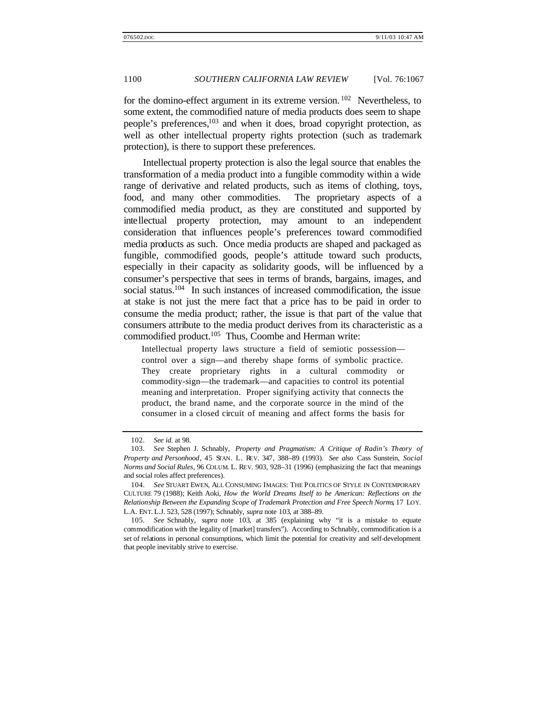for the domino-effect argument in its extreme version.  $102$  Nevertheless, to some extent, the commodified nature of media products does seem to shape people's preferences,<sup>103</sup> and when it does, broad copyright protection, as well as other intellectual property rights protection (such as trademark protection), is there to support these preferences.

Intellectual property protection is also the legal source that enables the transformation of a media product into a fungible commodity within a wide range of derivative and related products, such as items of clothing, toys, food, and many other commodities. The proprietary aspects of a commodified media product, as they are constituted and supported by intellectual property protection, may amount to an independent consideration that influences people's preferences toward commodified media products as such. Once media products are shaped and packaged as fungible, commodified goods, people's attitude toward such products, especially in their capacity as solidarity goods, will be influenced by a consumer's perspective that sees in terms of brands, bargains, images, and social status.<sup>104</sup> In such instances of increased commodification, the issue at stake is not just the mere fact that a price has to be paid in order to consume the media product; rather, the issue is that part of the value that consumers attribute to the media product derives from its characteristic as a commodified product.<sup>105</sup> Thus, Coombe and Herman write:

Intellectual property laws structure a field of semiotic possession control over a sign—and thereby shape forms of symbolic practice. They create proprietary rights in a cultural commodity or commodity-sign—the trademark—and capacities to control its potential meaning and interpretation. Proper signifying activity that connects the product, the brand name, and the corporate source in the mind of the consumer in a closed circuit of meaning and affect forms the basis for

<sup>102</sup>*. See id*. at 98.

<sup>103</sup>*. See* Stephen J. Schnably, *Property and Pragmatism: A Critique of Radin's Theory of Property and Personhood*, 45 STAN. L. REV. 347, 388–89 (1993). *See also* Cass Sunstein, *Social Norms and Social Rules*, 96 COLUM. L. REV. 903, 928–31 (1996) (emphasizing the fact that meanings and social roles affect preferences).

<sup>104</sup>*. See* STUART EWEN, ALL CONSUMING IMAGES: THE POLITICS OF STYLE IN CONTEMPORARY CULTURE 79 (1988); Keith Aoki, *How the World Dreams Itself to be American: Reflections on the Relationship Between the Expanding Scope of Trademark Protection and Free Speech Norms*, 17 LOY. L.A. ENT. L.J. 523, 528 (1997); Schnably, *supra* note 103, at 388–89.

<sup>105</sup>*. See* Schnably, *supra* note 103, at 385 (explaining why "it is a mistake to equate commodification with the legality of [market] transfers"). According to Schnably, commodification is a set of relations in personal consumptions, which limit the potential for creativity and self-development that people inevitably strive to exercise.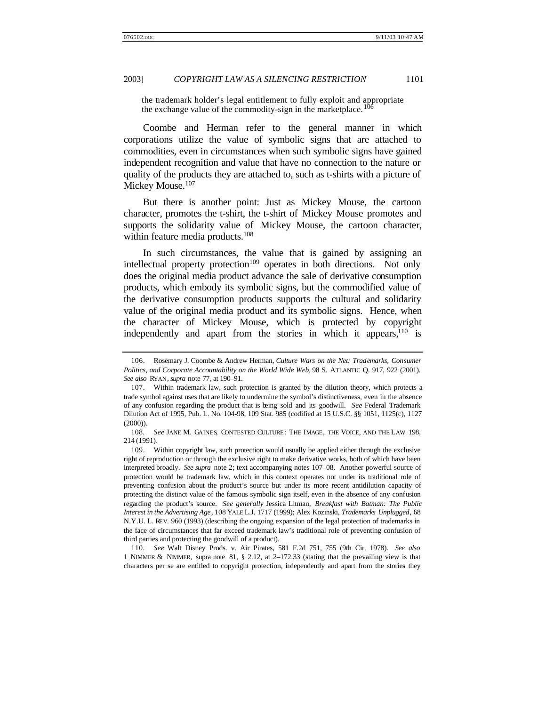the trademark holder's legal entitlement to fully exploit and appropriate the exchange value of the commodity-sign in the marketplace.<sup>10</sup>

Coombe and Herman refer to the general manner in which corporations utilize the value of symbolic signs that are attached to commodities, even in circumstances when such symbolic signs have gained independent recognition and value that have no connection to the nature or quality of the products they are attached to, such as t-shirts with a picture of Mickey Mouse.<sup>107</sup>

But there is another point: Just as Mickey Mouse, the cartoon character, promotes the t-shirt, the t-shirt of Mickey Mouse promotes and supports the solidarity value of Mickey Mouse, the cartoon character, within feature media products.<sup>108</sup>

In such circumstances, the value that is gained by assigning an intellectual property protection<sup>109</sup> operates in both directions. Not only does the original media product advance the sale of derivative consumption products, which embody its symbolic signs, but the commodified value of the derivative consumption products supports the cultural and solidarity value of the original media product and its symbolic signs. Hence, when the character of Mickey Mouse, which is protected by copyright independently and apart from the stories in which it appears,  $10$  is

110*. See* Walt Disney Prods. v. Air Pirates, 581 F.2d 751, 755 (9th Cir. 1978). *See also* 1 NIMMER & NIMMER, supra note 81, § 2.12, at 2–172.33 (stating that the prevailing view is that characters per se are entitled to copyright protection, independently and apart from the stories they

<sup>106.</sup> Rosemary J. Coombe & Andrew Herman, *Culture Wars on the Net: Trademarks, Consumer Politics, and Corporate Accountability on the World Wide Web*, 98 S. ATLANTIC Q. 917, 922 (2001). *See also* RYAN, *supra* note 77, at 190–91.

<sup>107.</sup> Within trademark law, such protection is granted by the dilution theory, which protects a trade symbol against uses that are likely to undermine the symbol's distinctiveness, even in the absence of any confusion regarding the product that is being sold and its goodwill. *See* Federal Trademark Dilution Act of 1995, Pub. L. No. 104-98, 109 Stat. 985 (codified at 15 U.S.C. §§ 1051, 1125(c), 1127 (2000)).

<sup>108</sup>*. See* JANE M. GAINES, CONTESTED CULTURE : THE IMAGE, THE VOICE, AND THE LAW 198, 214 (1991).

<sup>109.</sup> Within copyright law, such protection would usually be applied either through the exclusive right of reproduction or through the exclusive right to make derivative works, both of which have been interpreted broadly. *See supra* note 2; text accompanying notes 107–08. Another powerful source of protection would be trademark law, which in this context operates not under its traditional role of preventing confusion about the product's source but under its more recent antidilution capacity of protecting the distinct value of the famous symbolic sign itself, even in the absence of any confusion regarding the product's source. *See generally* Jessica Litman, *Breakfast with Batman: The Public Interest in the Advertising Age*, 108 YALE L.J. 1717 (1999); Alex Kozinski, *Trademarks Unplugged*, 68 N.Y.U. L. REV. 960 (1993) (describing the ongoing expansion of the legal protection of trademarks in the face of circumstances that far exceed trademark law's traditional role of preventing confusion of third parties and protecting the goodwill of a product).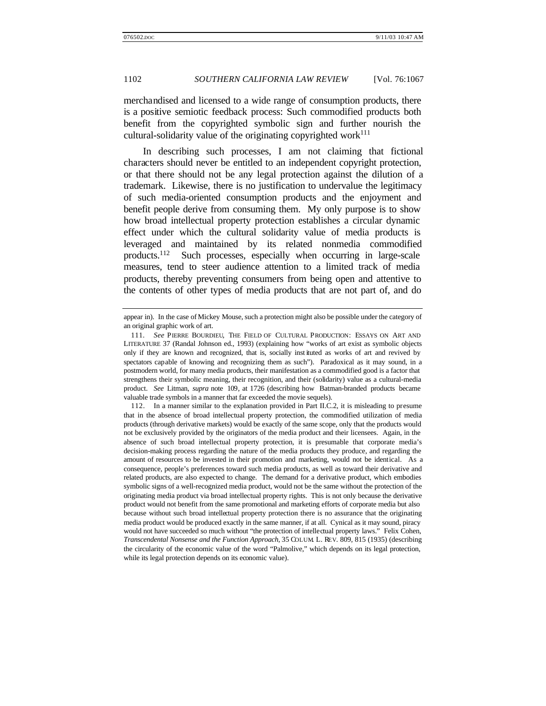merchandised and licensed to a wide range of consumption products, there is a positive semiotic feedback process: Such commodified products both benefit from the copyrighted symbolic sign and further nourish the cultural-solidarity value of the originating copyrighted work $111$ 

In describing such processes, I am not claiming that fictional characters should never be entitled to an independent copyright protection, or that there should not be any legal protection against the dilution of a trademark. Likewise, there is no justification to undervalue the legitimacy of such media-oriented consumption products and the enjoyment and benefit people derive from consuming them. My only purpose is to show how broad intellectual property protection establishes a circular dynamic effect under which the cultural solidarity value of media products is leveraged and maintained by its related nonmedia commodified products.<sup>112</sup> Such processes, especially when occurring in large-scale measures, tend to steer audience attention to a limited track of media products, thereby preventing consumers from being open and attentive to the contents of other types of media products that are not part of, and do

112. In a manner similar to the explanation provided in Part II.C.2, it is misleading to presume that in the absence of broad intellectual property protection, the commodified utilization of media products (through derivative markets) would be exactly of the same scope, only that the products would not be exclusively provided by the originators of the media product and their licensees. Again, in the absence of such broad intellectual property protection, it is presumable that corporate media's decision-making process regarding the nature of the media products they produce, and regarding the amount of resources to be invested in their promotion and marketing, would not be identical. As a consequence, people's preferences toward such media products, as well as toward their derivative and related products, are also expected to change. The demand for a derivative product, which embodies symbolic signs of a well-recognized media product, would not be the same without the protection of the originating media product via broad intellectual property rights. This is not only because the derivative product would not benefit from the same promotional and marketing efforts of corporate media but also because without such broad intellectual property protection there is no assurance that the originating media product would be produced exactly in the same manner, if at all. Cynical as it may sound, piracy would not have succeeded so much without "the protection of intellectual property laws." Felix Cohen, *Transcendental Nonsense and the Function Approach,* 35 COLUM. L. REV. 809, 815 (1935) (describing the circularity of the economic value of the word "Palmolive," which depends on its legal protection, while its legal protection depends on its economic value).

appear in). In the case of Mickey Mouse, such a protection might also be possible under the category of an original graphic work of art.

<sup>111</sup>*. See* PIERRE BOURDIEU, THE FIELD OF CULTURAL PRODUCTION: ESSAYS ON ART AND LITERATURE 37 (Randal Johnson ed., 1993) (explaining how "works of art exist as symbolic objects only if they are known and recognized, that is, socially inst ituted as works of art and revived by spectators capable of knowing and recognizing them as such"). Paradoxical as it may sound, in a postmodern world, for many media products, their manifestation as a commodified good is a factor that strengthens their symbolic meaning, their recognition, and their (solidarity) value as a cultural-media product. *See* Litman, *supra* note 109, at 1726 (describing how Batman-branded products became valuable trade symbols in a manner that far exceeded the movie sequels).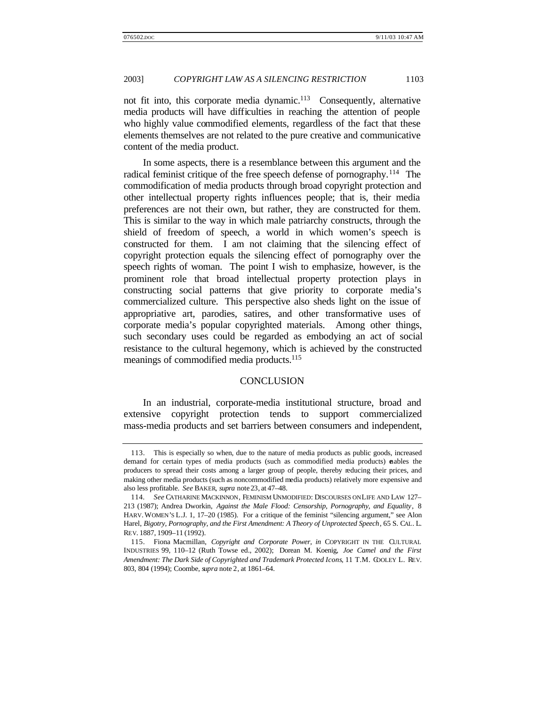not fit into, this corporate media dynamic.<sup>113</sup> Consequently, alternative media products will have difficulties in reaching the attention of people who highly value commodified elements, regardless of the fact that these elements themselves are not related to the pure creative and communicative content of the media product.

In some aspects, there is a resemblance between this argument and the radical feminist critique of the free speech defense of pornography.<sup>114</sup> The commodification of media products through broad copyright protection and other intellectual property rights influences people; that is, their media preferences are not their own, but rather, they are constructed for them. This is similar to the way in which male patriarchy constructs, through the shield of freedom of speech, a world in which women's speech is constructed for them. I am not claiming that the silencing effect of copyright protection equals the silencing effect of pornography over the speech rights of woman. The point I wish to emphasize, however, is the prominent role that broad intellectual property protection plays in constructing social patterns that give priority to corporate media's commercialized culture. This perspective also sheds light on the issue of appropriative art, parodies, satires, and other transformative uses of corporate media's popular copyrighted materials. Among other things, such secondary uses could be regarded as embodying an act of social resistance to the cultural hegemony, which is achieved by the constructed meanings of commodified media products.<sup>115</sup>

#### **CONCLUSION**

In an industrial, corporate-media institutional structure, broad and extensive copyright protection tends to support commercialized mass-media products and set barriers between consumers and independent,

<sup>113.</sup> This is especially so when, due to the nature of media products as public goods, increased demand for certain types of media products (such as commodified media products) enables the producers to spread their costs among a larger group of people, thereby reducing their prices, and making other media products (such as noncommodified media products) relatively more expensive and also less profitable. *See* BAKER, *supra* note 23, at 47–48.

<sup>114</sup>*. See* CATHARINE MACKINNON, FEMINISM UNMODIFIED: DISCOURSES ON LIFE AND LAW 127– 213 (1987); Andrea Dworkin, *Against the Male Flood: Censorship, Pornography, and Equality*, 8 HARV. WOMEN'S L.J. 1, 17–20 (1985). For a critique of the feminist "silencing argument," see Alon Harel, *Bigotry, Pornography, and the First Amendment: A Theory of Unprotected Speech*, 65 S. CAL. L. REV. 1887, 1909–11 (1992).

<sup>115.</sup> Fiona Macmillan, *Copyright and Corporate Power*, *in* COPYRIGHT IN THE CULTURAL INDUSTRIES 99, 110–12 (Ruth Towse ed., 2002); Dorean M. Koenig, *Joe Camel and the First Amendment: The Dark Side of Copyrighted and Trademark Protected Icons*, 11 T.M. COOLEY L. REV. 803, 804 (1994); Coombe, *supra* note 2, at 1861–64.